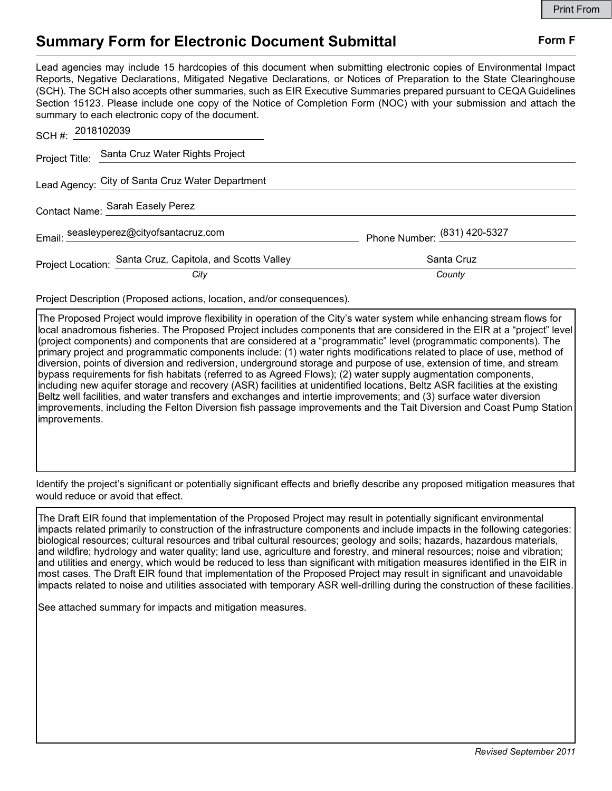### Summary Form for Electronic Document Submittal Form F

|                                                                                                                                                                                                                                                                                                                                                                                                                                                                                                                                           | <b>Print From</b>            |
|-------------------------------------------------------------------------------------------------------------------------------------------------------------------------------------------------------------------------------------------------------------------------------------------------------------------------------------------------------------------------------------------------------------------------------------------------------------------------------------------------------------------------------------------|------------------------------|
| <b>Summary Form for Electronic Document Submittal</b>                                                                                                                                                                                                                                                                                                                                                                                                                                                                                     | Form F                       |
| Lead agencies may include 15 hardcopies of this document when submitting electronic copies of Environmental Impact<br>Reports, Negative Declarations, Mitigated Negative Declarations, or Notices of Preparation to the State Clearinghouse<br>(SCH). The SCH also accepts other summaries, such as EIR Executive Summaries prepared pursuant to CEQA Guidelines<br>Section 15123. Please include one copy of the Notice of Completion Form (NOC) with your submission and attach the<br>summary to each electronic copy of the document. |                              |
| SCH #: 2018102039                                                                                                                                                                                                                                                                                                                                                                                                                                                                                                                         |                              |
| Santa Cruz Water Rights Project<br>Project Title:                                                                                                                                                                                                                                                                                                                                                                                                                                                                                         |                              |
| Lead Agency: City of Santa Cruz Water Department                                                                                                                                                                                                                                                                                                                                                                                                                                                                                          |                              |
| Contact Name: Sarah Easely Perez                                                                                                                                                                                                                                                                                                                                                                                                                                                                                                          |                              |
| Email: seasleyperez@cityofsantacruz.com                                                                                                                                                                                                                                                                                                                                                                                                                                                                                                   | Phone Number: (831) 420-5327 |
| Project Location: Santa Cruz, Capitola, and Scotts Valley                                                                                                                                                                                                                                                                                                                                                                                                                                                                                 | Santa Cruz                   |
| City                                                                                                                                                                                                                                                                                                                                                                                                                                                                                                                                      | County                       |
| Project Description (Proposed actions, location, and/or consequences).                                                                                                                                                                                                                                                                                                                                                                                                                                                                    |                              |

The Proposed Project would improve flexibility in operation of the City's water system while enhancing stream flows for local anadromous fisheries. The Proposed Project includes components that are considered in the EIR at a "project" level (project components) and components that are considered at a "programmatic" level (programmatic components). The primary project and programmatic components include: (1) water rights modifications related to place of use, method of diversion, points of diversion and rediversion, underground storage and purpose of use, extension of time, and stream bypass requirements for fish habitats (referred to as Agreed Flows); (2) water supply augmentation components, including new aquifer storage and recovery (ASR) facilities at unidentified locations, Beltz ASR facilities at the existing Beltz well facilities, and water transfers and exchanges and intertie improvements; and (3) surface water diversion improvements, including the Felton Diversion fish passage improvements and the Tait Diversion and Coast Pump Station improvements.

Identify the project's significant or potentially significant effects and briefly describe any proposed mitigation measures that would reduce or avoid that effect.

The Draft EIR found that implementation of the Proposed Project may result in potentially significant environmental impacts related primarily to construction of the infrastructure components and include impacts in the following categories: biological resources; cultural resources and tribal cultural resources; geology and soils; hazards, hazardous materials, and wildfire; hydrology and water quality; land use, agriculture and forestry, and mineral resources; noise and vibration; and utilities and energy, which would be reduced to less than significant with mitigation measures identified in the EIR in most cases. The Draft EIR found that implementation of the Proposed Project may result in significant and unavoidable impacts related to noise and utilities associated with temporary ASR well-drilling during the construction of these facilities.

See attached summary for impacts and mitigation measures.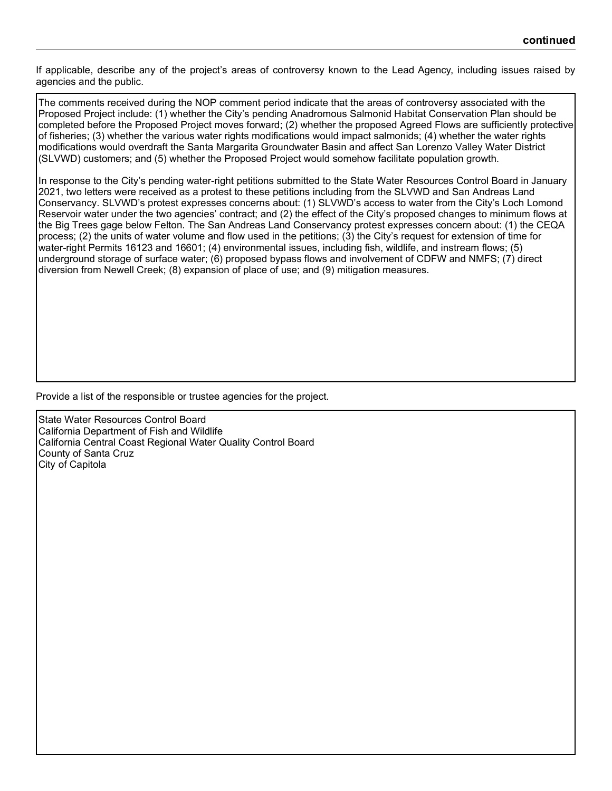If applicable, describe any of the project's areas of controversy known to the Lead Agency, including issues raised by agencies and the public.

The comments received during the NOP comment period indicate that the areas of controversy associated with the Proposed Project include: (1) whether the City's pending Anadromous Salmonid Habitat Conservation Plan should be completed before the Proposed Project moves forward; (2) whether the proposed Agreed Flows are sufficiently protective of fisheries; (3) whether the various water rights modifications would impact salmonids; (4) whether the water rights modifications would overdraft the Santa Margarita Groundwater Basin and affect San Lorenzo Valley Water District (SLVWD) customers; and (5) whether the Proposed Project would somehow facilitate population growth.

In response to the City's pending water-right petitions submitted to the State Water Resources Control Board in January 2021, two letters were received as a protest to these petitions including from the SLVWD and San Andreas Land Conservancy. SLVWD's protest expresses concerns about: (1) SLVWD's access to water from the City's Loch Lomond Reservoir water under the two agencies' contract; and (2) the effect of the City's proposed changes to minimum flows at the Big Trees gage below Felton. The San Andreas Land Conservancy protest expresses concern about: (1) the CEQA process; (2) the units of water volume and flow used in the petitions; (3) the City's request for extension of time for water-right Permits 16123 and 16601; (4) environmental issues, including fish, wildlife, and instream flows; (5) underground storage of surface water; (6) proposed bypass flows and involvement of CDFW and NMFS; (7) direct diversion from Newell Creek; (8) expansion of place of use; and (9) mitigation measures.

Provide a list of the responsible or trustee agencies for the project.

State Water Resources Control Board California Department of Fish and Wildlife California Central Coast Regional Water Quality Control Board County of Santa Cruz City of Capitola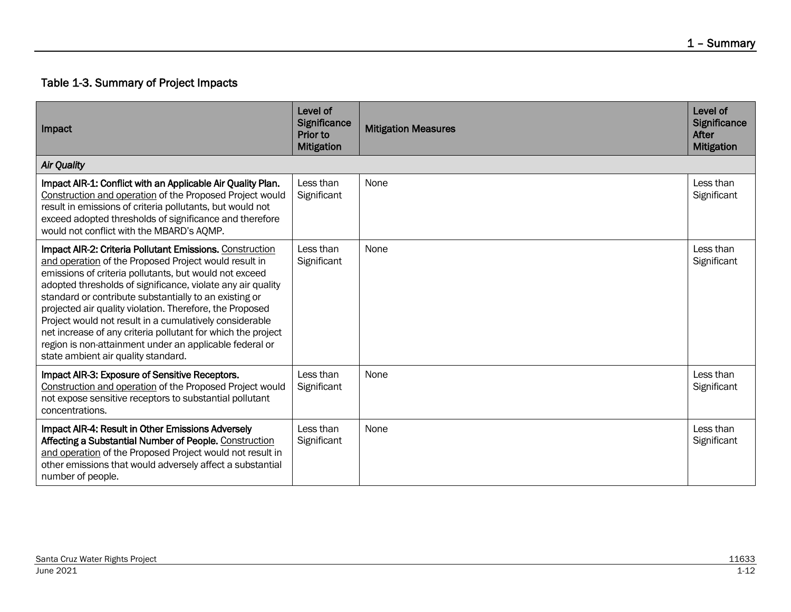# Table 1-3. Summary of Project Impacts

| Impact                                                                                                                                                                                                                                                                                                                                                                                                                                                                                                                                                                                               | Level of<br>Significance<br><b>Prior to</b><br><b>Mitigation</b> | <b>Mitigation Measures</b> | Level of<br>Significance<br>After<br><b>Mitigation</b> |
|------------------------------------------------------------------------------------------------------------------------------------------------------------------------------------------------------------------------------------------------------------------------------------------------------------------------------------------------------------------------------------------------------------------------------------------------------------------------------------------------------------------------------------------------------------------------------------------------------|------------------------------------------------------------------|----------------------------|--------------------------------------------------------|
| <b>Air Quality</b>                                                                                                                                                                                                                                                                                                                                                                                                                                                                                                                                                                                   |                                                                  |                            |                                                        |
| Impact AIR-1: Conflict with an Applicable Air Quality Plan.<br>Construction and operation of the Proposed Project would<br>result in emissions of criteria pollutants, but would not<br>exceed adopted thresholds of significance and therefore<br>would not conflict with the MBARD's AQMP.                                                                                                                                                                                                                                                                                                         | Less than<br>Significant                                         | None                       | Less than<br>Significant                               |
| <b>Impact AIR-2: Criteria Pollutant Emissions. Construction</b><br>and operation of the Proposed Project would result in<br>emissions of criteria pollutants, but would not exceed<br>adopted thresholds of significance, violate any air quality<br>standard or contribute substantially to an existing or<br>projected air quality violation. Therefore, the Proposed<br>Project would not result in a cumulatively considerable<br>net increase of any criteria pollutant for which the project<br>region is non-attainment under an applicable federal or<br>state ambient air quality standard. | Less than<br>Significant                                         | None                       | Less than<br>Significant                               |
| Impact AIR-3: Exposure of Sensitive Receptors.<br>Construction and operation of the Proposed Project would<br>not expose sensitive receptors to substantial pollutant<br>concentrations.                                                                                                                                                                                                                                                                                                                                                                                                             | Less than<br>Significant                                         | None                       | Less than<br>Significant                               |
| Impact AIR-4: Result in Other Emissions Adversely<br>Affecting a Substantial Number of People. Construction<br>and operation of the Proposed Project would not result in<br>other emissions that would adversely affect a substantial<br>number of people.                                                                                                                                                                                                                                                                                                                                           | Less than<br>Significant                                         | <b>None</b>                | Less than<br>Significant                               |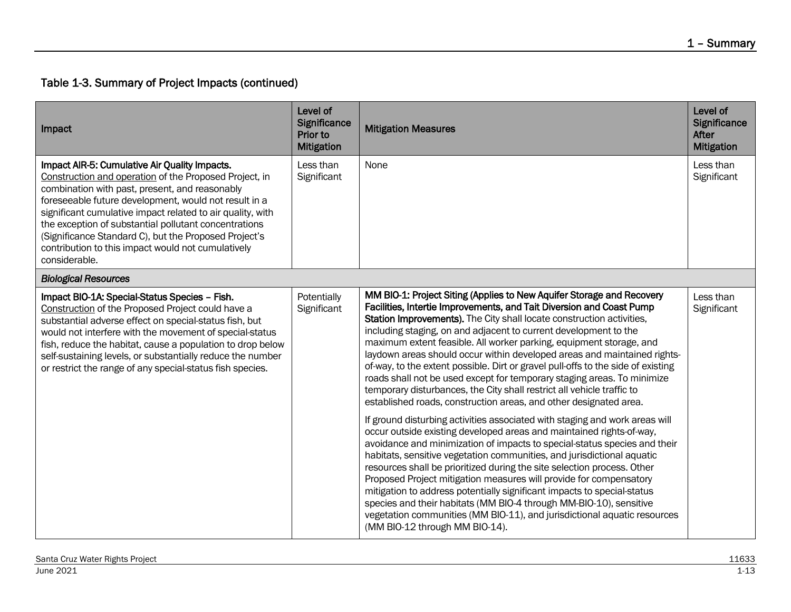| Impact                                                                                                                                                                                                                                                                                                                                                                                                                                                                    | Level of<br>Significance<br>Prior to<br><b>Mitigation</b> | <b>Mitigation Measures</b>                                                                                                                                                                                                                                                                                                                                                                                                                                                                                                                                                                                                                                                                                                                                                                                                                                                                                                                                                                                                                                                                                                                                                                                                                                                                                                                                                                                                                                                                | Level of<br><b>Significance</b><br><b>After</b><br><b>Mitigation</b> |
|---------------------------------------------------------------------------------------------------------------------------------------------------------------------------------------------------------------------------------------------------------------------------------------------------------------------------------------------------------------------------------------------------------------------------------------------------------------------------|-----------------------------------------------------------|-------------------------------------------------------------------------------------------------------------------------------------------------------------------------------------------------------------------------------------------------------------------------------------------------------------------------------------------------------------------------------------------------------------------------------------------------------------------------------------------------------------------------------------------------------------------------------------------------------------------------------------------------------------------------------------------------------------------------------------------------------------------------------------------------------------------------------------------------------------------------------------------------------------------------------------------------------------------------------------------------------------------------------------------------------------------------------------------------------------------------------------------------------------------------------------------------------------------------------------------------------------------------------------------------------------------------------------------------------------------------------------------------------------------------------------------------------------------------------------------|----------------------------------------------------------------------|
| Impact AIR-5: Cumulative Air Quality Impacts.<br>Construction and operation of the Proposed Project, in<br>combination with past, present, and reasonably<br>foreseeable future development, would not result in a<br>significant cumulative impact related to air quality, with<br>the exception of substantial pollutant concentrations<br>(Significance Standard C), but the Proposed Project's<br>contribution to this impact would not cumulatively<br>considerable. | Less than<br>Significant                                  | None                                                                                                                                                                                                                                                                                                                                                                                                                                                                                                                                                                                                                                                                                                                                                                                                                                                                                                                                                                                                                                                                                                                                                                                                                                                                                                                                                                                                                                                                                      | Less than<br>Significant                                             |
| <b>Biological Resources</b>                                                                                                                                                                                                                                                                                                                                                                                                                                               |                                                           |                                                                                                                                                                                                                                                                                                                                                                                                                                                                                                                                                                                                                                                                                                                                                                                                                                                                                                                                                                                                                                                                                                                                                                                                                                                                                                                                                                                                                                                                                           |                                                                      |
| Impact BIO-1A: Special-Status Species - Fish.<br>Construction of the Proposed Project could have a<br>substantial adverse effect on special-status fish, but<br>would not interfere with the movement of special-status<br>fish, reduce the habitat, cause a population to drop below<br>self-sustaining levels, or substantially reduce the number<br>or restrict the range of any special-status fish species.                                                          | Potentially<br>Significant                                | MM BIO-1: Project Siting (Applies to New Aquifer Storage and Recovery<br>Facilities, Intertie Improvements, and Tait Diversion and Coast Pump<br>Station Improvements). The City shall locate construction activities,<br>including staging, on and adjacent to current development to the<br>maximum extent feasible. All worker parking, equipment storage, and<br>laydown areas should occur within developed areas and maintained rights-<br>of-way, to the extent possible. Dirt or gravel pull-offs to the side of existing<br>roads shall not be used except for temporary staging areas. To minimize<br>temporary disturbances, the City shall restrict all vehicle traffic to<br>established roads, construction areas, and other designated area.<br>If ground disturbing activities associated with staging and work areas will<br>occur outside existing developed areas and maintained rights-of-way,<br>avoidance and minimization of impacts to special-status species and their<br>habitats, sensitive vegetation communities, and jurisdictional aquatic<br>resources shall be prioritized during the site selection process. Other<br>Proposed Project mitigation measures will provide for compensatory<br>mitigation to address potentially significant impacts to special-status<br>species and their habitats (MM BIO-4 through MM-BIO-10), sensitive<br>vegetation communities (MM BIO-11), and jurisdictional aquatic resources<br>(MM BIO-12 through MM BIO-14). | Less than<br>Significant                                             |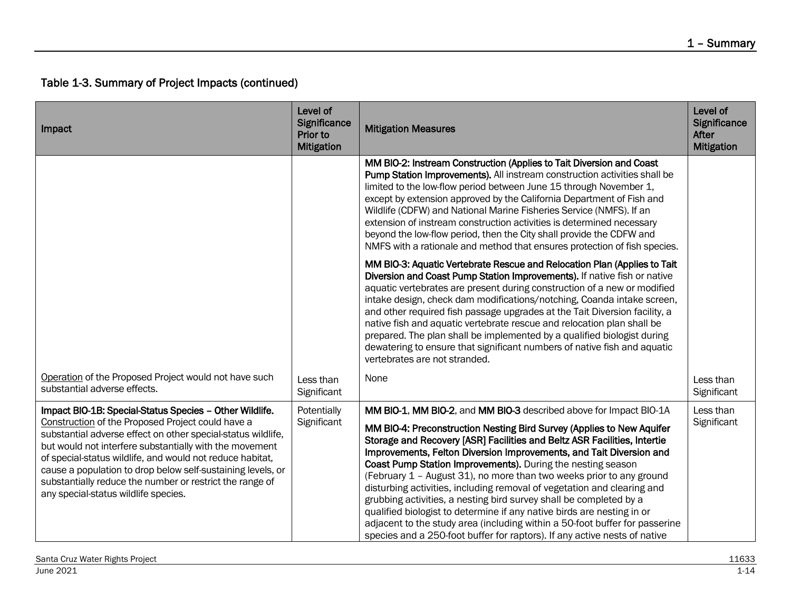| Impact                                                                                                                                                                                                                                                                                                                                                                                                                                                                  | Level of<br>Significance<br>Prior to<br><b>Mitigation</b> | <b>Mitigation Measures</b>                                                                                                                                                                                                                                                                                                                                                                                                                                                                                                                                                                                                                                                                                                                                                                                                   | Level of<br>Significance<br><b>After</b><br><b>Mitigation</b> |
|-------------------------------------------------------------------------------------------------------------------------------------------------------------------------------------------------------------------------------------------------------------------------------------------------------------------------------------------------------------------------------------------------------------------------------------------------------------------------|-----------------------------------------------------------|------------------------------------------------------------------------------------------------------------------------------------------------------------------------------------------------------------------------------------------------------------------------------------------------------------------------------------------------------------------------------------------------------------------------------------------------------------------------------------------------------------------------------------------------------------------------------------------------------------------------------------------------------------------------------------------------------------------------------------------------------------------------------------------------------------------------------|---------------------------------------------------------------|
|                                                                                                                                                                                                                                                                                                                                                                                                                                                                         |                                                           | MM BIO-2: Instream Construction (Applies to Tait Diversion and Coast<br>Pump Station Improvements). All instream construction activities shall be<br>limited to the low-flow period between June 15 through November 1,<br>except by extension approved by the California Department of Fish and<br>Wildlife (CDFW) and National Marine Fisheries Service (NMFS). If an<br>extension of instream construction activities is determined necessary<br>beyond the low-flow period, then the City shall provide the CDFW and<br>NMFS with a rationale and method that ensures protection of fish species.                                                                                                                                                                                                                        |                                                               |
|                                                                                                                                                                                                                                                                                                                                                                                                                                                                         |                                                           | MM BIO-3: Aquatic Vertebrate Rescue and Relocation Plan (Applies to Tait<br>Diversion and Coast Pump Station Improvements). If native fish or native<br>aquatic vertebrates are present during construction of a new or modified<br>intake design, check dam modifications/notching, Coanda intake screen,<br>and other required fish passage upgrades at the Tait Diversion facility, a<br>native fish and aquatic vertebrate rescue and relocation plan shall be<br>prepared. The plan shall be implemented by a qualified biologist during<br>dewatering to ensure that significant numbers of native fish and aquatic<br>vertebrates are not stranded.                                                                                                                                                                   |                                                               |
| Operation of the Proposed Project would not have such<br>substantial adverse effects.                                                                                                                                                                                                                                                                                                                                                                                   | Less than<br>Significant                                  | None                                                                                                                                                                                                                                                                                                                                                                                                                                                                                                                                                                                                                                                                                                                                                                                                                         | Less than<br>Significant                                      |
| Impact BIO-1B: Special-Status Species - Other Wildlife.<br>Construction of the Proposed Project could have a<br>substantial adverse effect on other special-status wildlife,<br>but would not interfere substantially with the movement<br>of special-status wildlife, and would not reduce habitat,<br>cause a population to drop below self-sustaining levels, or<br>substantially reduce the number or restrict the range of<br>any special-status wildlife species. | Potentially<br>Significant                                | MM BIO-1, MM BIO-2, and MM BIO-3 described above for Impact BIO-1A<br>MM BIO-4: Preconstruction Nesting Bird Survey (Applies to New Aquifer<br>Storage and Recovery [ASR] Facilities and Beltz ASR Facilities, Intertie<br>Improvements, Felton Diversion Improvements, and Tait Diversion and<br>Coast Pump Station Improvements). During the nesting season<br>(February 1 - August 31), no more than two weeks prior to any ground<br>disturbing activities, including removal of vegetation and clearing and<br>grubbing activities, a nesting bird survey shall be completed by a<br>qualified biologist to determine if any native birds are nesting in or<br>adjacent to the study area (including within a 50-foot buffer for passerine<br>species and a 250-foot buffer for raptors). If any active nests of native | Less than<br>Significant                                      |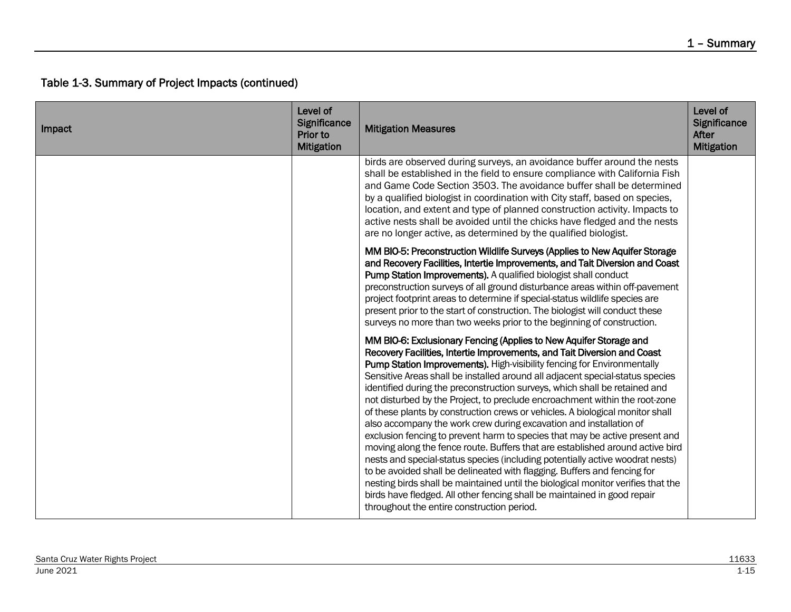| Impact | Level of<br>Significance<br>Prior to<br><b>Mitigation</b> | <b>Mitigation Measures</b>                                                                                                                                                                                                                                                                                                                                                                                                                                                                                                                                                                                                                                                                                                                                                                                                                                                                                                                                                                                                                                                                                                                                                | Level of<br>Significance<br>After<br><b>Mitigation</b> |
|--------|-----------------------------------------------------------|---------------------------------------------------------------------------------------------------------------------------------------------------------------------------------------------------------------------------------------------------------------------------------------------------------------------------------------------------------------------------------------------------------------------------------------------------------------------------------------------------------------------------------------------------------------------------------------------------------------------------------------------------------------------------------------------------------------------------------------------------------------------------------------------------------------------------------------------------------------------------------------------------------------------------------------------------------------------------------------------------------------------------------------------------------------------------------------------------------------------------------------------------------------------------|--------------------------------------------------------|
|        |                                                           | birds are observed during surveys, an avoidance buffer around the nests<br>shall be established in the field to ensure compliance with California Fish<br>and Game Code Section 3503. The avoidance buffer shall be determined<br>by a qualified biologist in coordination with City staff, based on species,<br>location, and extent and type of planned construction activity. Impacts to<br>active nests shall be avoided until the chicks have fledged and the nests<br>are no longer active, as determined by the qualified biologist.                                                                                                                                                                                                                                                                                                                                                                                                                                                                                                                                                                                                                               |                                                        |
|        |                                                           | MM BIO-5: Preconstruction Wildlife Surveys (Applies to New Aquifer Storage<br>and Recovery Facilities, Intertie Improvements, and Tait Diversion and Coast<br><b>Pump Station Improvements).</b> A qualified biologist shall conduct<br>preconstruction surveys of all ground disturbance areas within off-pavement<br>project footprint areas to determine if special-status wildlife species are<br>present prior to the start of construction. The biologist will conduct these<br>surveys no more than two weeks prior to the beginning of construction.                                                                                                                                                                                                                                                                                                                                                                                                                                                                                                                                                                                                              |                                                        |
|        |                                                           | MM BIO-6: Exclusionary Fencing (Applies to New Aquifer Storage and<br>Recovery Facilities, Intertie Improvements, and Tait Diversion and Coast<br>Pump Station Improvements). High-visibility fencing for Environmentally<br>Sensitive Areas shall be installed around all adjacent special-status species<br>identified during the preconstruction surveys, which shall be retained and<br>not disturbed by the Project, to preclude encroachment within the root-zone<br>of these plants by construction crews or vehicles. A biological monitor shall<br>also accompany the work crew during excavation and installation of<br>exclusion fencing to prevent harm to species that may be active present and<br>moving along the fence route. Buffers that are established around active bird<br>nests and special-status species (including potentially active woodrat nests)<br>to be avoided shall be delineated with flagging. Buffers and fencing for<br>nesting birds shall be maintained until the biological monitor verifies that the<br>birds have fledged. All other fencing shall be maintained in good repair<br>throughout the entire construction period. |                                                        |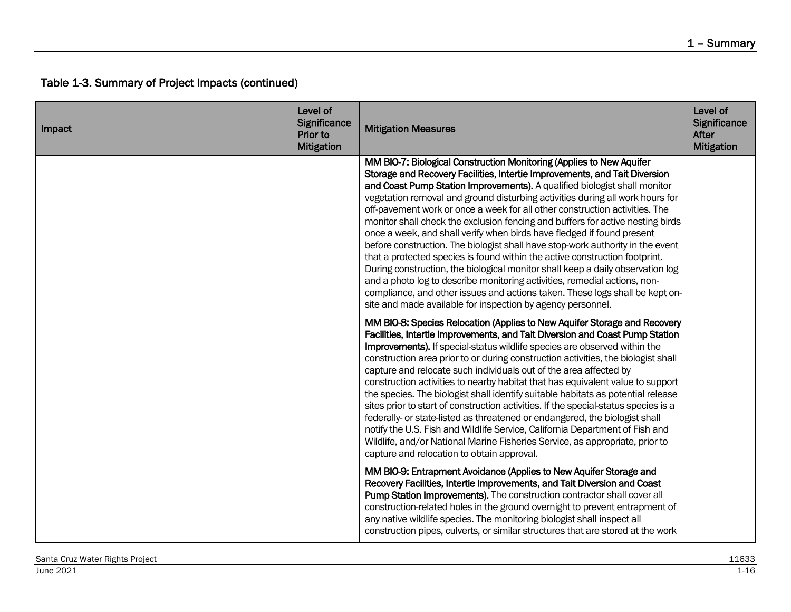| Impact | Level of<br>Significance<br>Prior to<br><b>Mitigation</b> | <b>Mitigation Measures</b>                                                                                                                                                                                                                                                                                                                                                                                                                                                                                                                                                                                                                                                                                                                                                                                                                                                                                                                                                                                                                 | Level of<br>Significance<br>After<br><b>Mitigation</b> |
|--------|-----------------------------------------------------------|--------------------------------------------------------------------------------------------------------------------------------------------------------------------------------------------------------------------------------------------------------------------------------------------------------------------------------------------------------------------------------------------------------------------------------------------------------------------------------------------------------------------------------------------------------------------------------------------------------------------------------------------------------------------------------------------------------------------------------------------------------------------------------------------------------------------------------------------------------------------------------------------------------------------------------------------------------------------------------------------------------------------------------------------|--------------------------------------------------------|
|        |                                                           | MM BIO-7: Biological Construction Monitoring (Applies to New Aquifer<br>Storage and Recovery Facilities, Intertie Improvements, and Tait Diversion<br>and Coast Pump Station Improvements). A qualified biologist shall monitor<br>vegetation removal and ground disturbing activities during all work hours for<br>off-pavement work or once a week for all other construction activities. The<br>monitor shall check the exclusion fencing and buffers for active nesting birds<br>once a week, and shall verify when birds have fledged if found present<br>before construction. The biologist shall have stop-work authority in the event<br>that a protected species is found within the active construction footprint.<br>During construction, the biological monitor shall keep a daily observation log<br>and a photo log to describe monitoring activities, remedial actions, non-<br>compliance, and other issues and actions taken. These logs shall be kept on-<br>site and made available for inspection by agency personnel. |                                                        |
|        |                                                           | MM BIO-8: Species Relocation (Applies to New Aquifer Storage and Recovery<br>Facilities, Intertie Improvements, and Tait Diversion and Coast Pump Station<br>Improvements). If special-status wildlife species are observed within the<br>construction area prior to or during construction activities, the biologist shall<br>capture and relocate such individuals out of the area affected by<br>construction activities to nearby habitat that has equivalent value to support<br>the species. The biologist shall identify suitable habitats as potential release<br>sites prior to start of construction activities. If the special-status species is a<br>federally- or state-listed as threatened or endangered, the biologist shall<br>notify the U.S. Fish and Wildlife Service, California Department of Fish and<br>Wildlife, and/or National Marine Fisheries Service, as appropriate, prior to<br>capture and relocation to obtain approval.                                                                                 |                                                        |
|        |                                                           | MM BIO-9: Entrapment Avoidance (Applies to New Aquifer Storage and<br>Recovery Facilities, Intertie Improvements, and Tait Diversion and Coast<br>Pump Station Improvements). The construction contractor shall cover all<br>construction-related holes in the ground overnight to prevent entrapment of<br>any native wildlife species. The monitoring biologist shall inspect all<br>construction pipes, culverts, or similar structures that are stored at the work                                                                                                                                                                                                                                                                                                                                                                                                                                                                                                                                                                     |                                                        |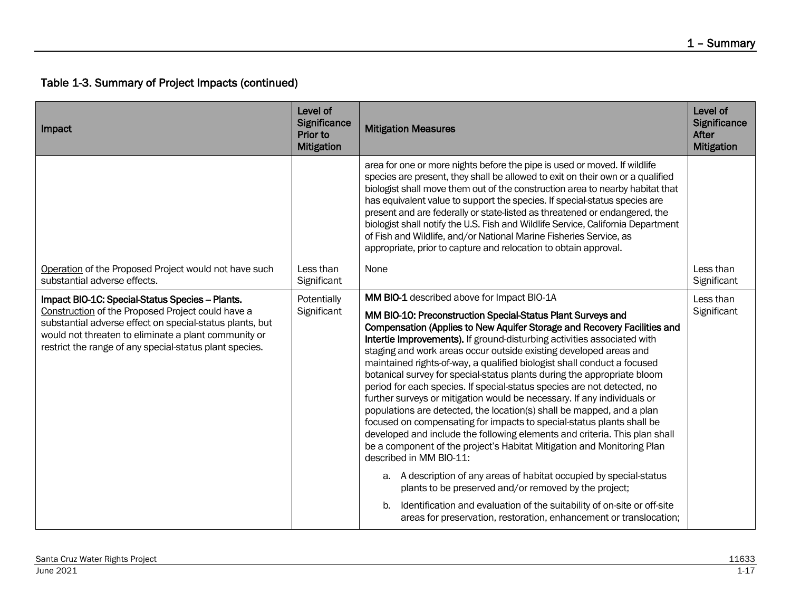| Impact                                                                                                                                                                                                                                                                              | Level of<br>Significance<br>Prior to<br><b>Mitigation</b> | <b>Mitigation Measures</b>                                                                                                                                                                                                                                                                                                                                                                                                                                                                                                                                                                                                                                                                                                                                                                                                                                                                                                                                                                                                                                                                                                                                                                                                                                                    | Level of<br>Significance<br>After<br><b>Mitigation</b> |
|-------------------------------------------------------------------------------------------------------------------------------------------------------------------------------------------------------------------------------------------------------------------------------------|-----------------------------------------------------------|-------------------------------------------------------------------------------------------------------------------------------------------------------------------------------------------------------------------------------------------------------------------------------------------------------------------------------------------------------------------------------------------------------------------------------------------------------------------------------------------------------------------------------------------------------------------------------------------------------------------------------------------------------------------------------------------------------------------------------------------------------------------------------------------------------------------------------------------------------------------------------------------------------------------------------------------------------------------------------------------------------------------------------------------------------------------------------------------------------------------------------------------------------------------------------------------------------------------------------------------------------------------------------|--------------------------------------------------------|
|                                                                                                                                                                                                                                                                                     |                                                           | area for one or more nights before the pipe is used or moved. If wildlife<br>species are present, they shall be allowed to exit on their own or a qualified<br>biologist shall move them out of the construction area to nearby habitat that<br>has equivalent value to support the species. If special-status species are<br>present and are federally or state-listed as threatened or endangered, the<br>biologist shall notify the U.S. Fish and Wildlife Service, California Department<br>of Fish and Wildlife, and/or National Marine Fisheries Service, as<br>appropriate, prior to capture and relocation to obtain approval.                                                                                                                                                                                                                                                                                                                                                                                                                                                                                                                                                                                                                                        |                                                        |
| Operation of the Proposed Project would not have such<br>substantial adverse effects.                                                                                                                                                                                               | Less than<br>Significant                                  | None                                                                                                                                                                                                                                                                                                                                                                                                                                                                                                                                                                                                                                                                                                                                                                                                                                                                                                                                                                                                                                                                                                                                                                                                                                                                          | Less than<br>Significant                               |
| Impact BIO-1C: Special-Status Species - Plants.<br>Construction of the Proposed Project could have a<br>substantial adverse effect on special-status plants, but<br>would not threaten to eliminate a plant community or<br>restrict the range of any special-status plant species. | Potentially<br>Significant                                | MM BIO-1 described above for Impact BIO-1A<br>MM BIO-10: Preconstruction Special-Status Plant Surveys and<br>Compensation (Applies to New Aquifer Storage and Recovery Facilities and<br>Intertie Improvements). If ground-disturbing activities associated with<br>staging and work areas occur outside existing developed areas and<br>maintained rights-of-way, a qualified biologist shall conduct a focused<br>botanical survey for special-status plants during the appropriate bloom<br>period for each species. If special-status species are not detected, no<br>further surveys or mitigation would be necessary. If any individuals or<br>populations are detected, the location(s) shall be mapped, and a plan<br>focused on compensating for impacts to special-status plants shall be<br>developed and include the following elements and criteria. This plan shall<br>be a component of the project's Habitat Mitigation and Monitoring Plan<br>described in MM BIO-11:<br>a. A description of any areas of habitat occupied by special-status<br>plants to be preserved and/or removed by the project;<br>Identification and evaluation of the suitability of on-site or off-site<br>b.<br>areas for preservation, restoration, enhancement or translocation; | Less than<br>Significant                               |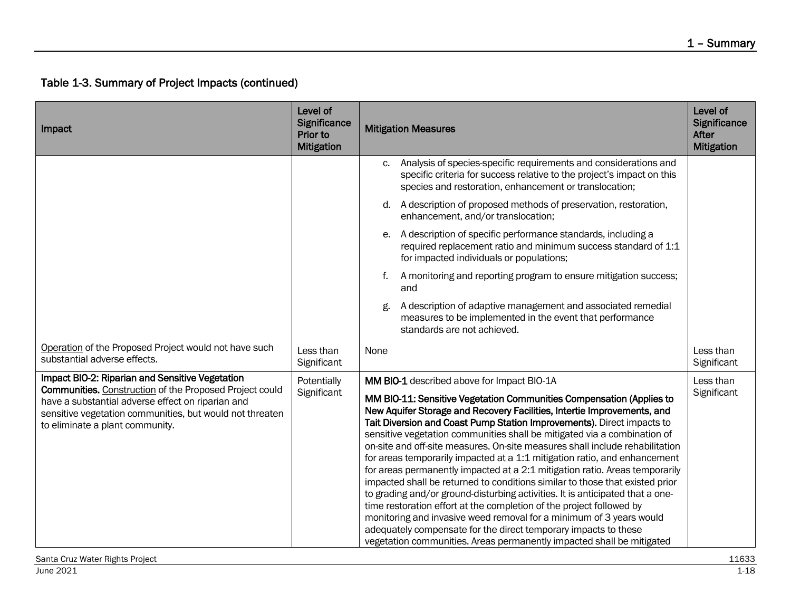| Impact                                                                                                                                                                                                                                                                | Level of<br><b>Significance</b><br>Prior to<br><b>Mitigation</b> | <b>Mitigation Measures</b>                                                                                                                                                                                                                                                                                                                                                                                                                                                                                                                                                                                                                                                                                                                                                                                                                                                                                                                                                                                                                                  | Level of<br>Significance<br>After<br><b>Mitigation</b> |
|-----------------------------------------------------------------------------------------------------------------------------------------------------------------------------------------------------------------------------------------------------------------------|------------------------------------------------------------------|-------------------------------------------------------------------------------------------------------------------------------------------------------------------------------------------------------------------------------------------------------------------------------------------------------------------------------------------------------------------------------------------------------------------------------------------------------------------------------------------------------------------------------------------------------------------------------------------------------------------------------------------------------------------------------------------------------------------------------------------------------------------------------------------------------------------------------------------------------------------------------------------------------------------------------------------------------------------------------------------------------------------------------------------------------------|--------------------------------------------------------|
|                                                                                                                                                                                                                                                                       |                                                                  | Analysis of species-specific requirements and considerations and<br>c.<br>specific criteria for success relative to the project's impact on this<br>species and restoration, enhancement or translocation;                                                                                                                                                                                                                                                                                                                                                                                                                                                                                                                                                                                                                                                                                                                                                                                                                                                  |                                                        |
|                                                                                                                                                                                                                                                                       |                                                                  | A description of proposed methods of preservation, restoration,<br>d.<br>enhancement, and/or translocation;                                                                                                                                                                                                                                                                                                                                                                                                                                                                                                                                                                                                                                                                                                                                                                                                                                                                                                                                                 |                                                        |
|                                                                                                                                                                                                                                                                       |                                                                  | A description of specific performance standards, including a<br>е.<br>required replacement ratio and minimum success standard of 1:1<br>for impacted individuals or populations;                                                                                                                                                                                                                                                                                                                                                                                                                                                                                                                                                                                                                                                                                                                                                                                                                                                                            |                                                        |
|                                                                                                                                                                                                                                                                       |                                                                  | A monitoring and reporting program to ensure mitigation success;<br>f.<br>and                                                                                                                                                                                                                                                                                                                                                                                                                                                                                                                                                                                                                                                                                                                                                                                                                                                                                                                                                                               |                                                        |
|                                                                                                                                                                                                                                                                       |                                                                  | A description of adaptive management and associated remedial<br>g.<br>measures to be implemented in the event that performance<br>standards are not achieved.                                                                                                                                                                                                                                                                                                                                                                                                                                                                                                                                                                                                                                                                                                                                                                                                                                                                                               |                                                        |
| Operation of the Proposed Project would not have such<br>substantial adverse effects.                                                                                                                                                                                 | Less than<br>Significant                                         | None                                                                                                                                                                                                                                                                                                                                                                                                                                                                                                                                                                                                                                                                                                                                                                                                                                                                                                                                                                                                                                                        | Less than<br>Significant                               |
| Impact BIO-2: Riparian and Sensitive Vegetation<br><b>Communities.</b> Construction of the Proposed Project could<br>have a substantial adverse effect on riparian and<br>sensitive vegetation communities, but would not threaten<br>to eliminate a plant community. | Potentially<br>Significant                                       | MM BIO-1 described above for Impact BIO-1A<br>MM BIO-11: Sensitive Vegetation Communities Compensation (Applies to<br>New Aquifer Storage and Recovery Facilities, Intertie Improvements, and<br>Tait Diversion and Coast Pump Station Improvements). Direct impacts to<br>sensitive vegetation communities shall be mitigated via a combination of<br>on-site and off-site measures. On-site measures shall include rehabilitation<br>for areas temporarily impacted at a 1:1 mitigation ratio, and enhancement<br>for areas permanently impacted at a 2:1 mitigation ratio. Areas temporarily<br>impacted shall be returned to conditions similar to those that existed prior<br>to grading and/or ground-disturbing activities. It is anticipated that a one-<br>time restoration effort at the completion of the project followed by<br>monitoring and invasive weed removal for a minimum of 3 years would<br>adequately compensate for the direct temporary impacts to these<br>vegetation communities. Areas permanently impacted shall be mitigated | Less than<br>Significant                               |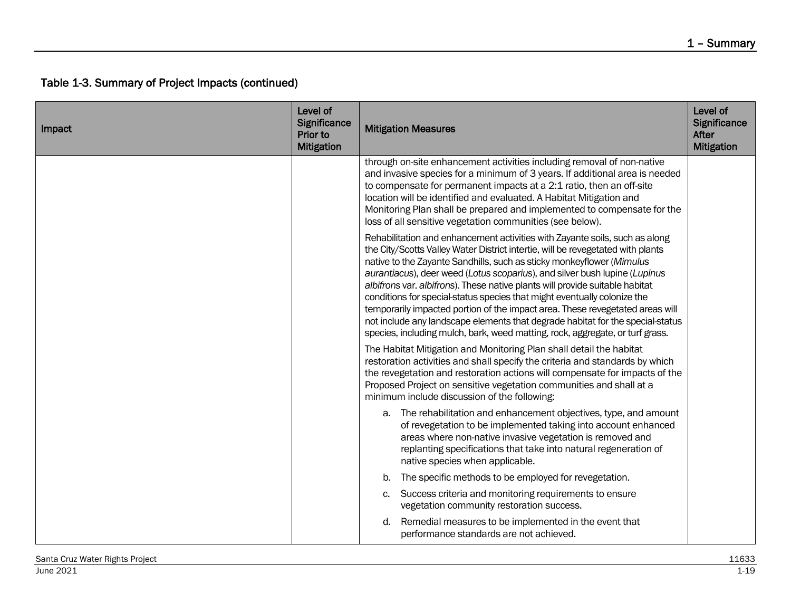| Impact | Level of<br>Significance<br>Prior to<br><b>Mitigation</b> | <b>Mitigation Measures</b>                                                                                                                                                                                                                                                                                                                                                                                                                                                                                                                                                                                                                                                                                                            | Level of<br>Significance<br>After<br><b>Mitigation</b> |
|--------|-----------------------------------------------------------|---------------------------------------------------------------------------------------------------------------------------------------------------------------------------------------------------------------------------------------------------------------------------------------------------------------------------------------------------------------------------------------------------------------------------------------------------------------------------------------------------------------------------------------------------------------------------------------------------------------------------------------------------------------------------------------------------------------------------------------|--------------------------------------------------------|
|        |                                                           | through on-site enhancement activities including removal of non-native<br>and invasive species for a minimum of 3 years. If additional area is needed<br>to compensate for permanent impacts at a 2:1 ratio, then an off-site<br>location will be identified and evaluated. A Habitat Mitigation and<br>Monitoring Plan shall be prepared and implemented to compensate for the<br>loss of all sensitive vegetation communities (see below).                                                                                                                                                                                                                                                                                          |                                                        |
|        |                                                           | Rehabilitation and enhancement activities with Zayante soils, such as along<br>the City/Scotts Valley Water District intertie, will be revegetated with plants<br>native to the Zayante Sandhills, such as sticky monkeyflower (Mimulus<br>aurantiacus), deer weed (Lotus scoparius), and silver bush lupine (Lupinus<br>albifrons var. albifrons). These native plants will provide suitable habitat<br>conditions for special-status species that might eventually colonize the<br>temporarily impacted portion of the impact area. These revegetated areas will<br>not include any landscape elements that degrade habitat for the special-status<br>species, including mulch, bark, weed matting, rock, aggregate, or turf grass. |                                                        |
|        |                                                           | The Habitat Mitigation and Monitoring Plan shall detail the habitat<br>restoration activities and shall specify the criteria and standards by which<br>the revegetation and restoration actions will compensate for impacts of the<br>Proposed Project on sensitive vegetation communities and shall at a<br>minimum include discussion of the following:                                                                                                                                                                                                                                                                                                                                                                             |                                                        |
|        |                                                           | a. The rehabilitation and enhancement objectives, type, and amount<br>of revegetation to be implemented taking into account enhanced<br>areas where non-native invasive vegetation is removed and<br>replanting specifications that take into natural regeneration of<br>native species when applicable.                                                                                                                                                                                                                                                                                                                                                                                                                              |                                                        |
|        |                                                           | The specific methods to be employed for revegetation.<br>b.                                                                                                                                                                                                                                                                                                                                                                                                                                                                                                                                                                                                                                                                           |                                                        |
|        |                                                           | Success criteria and monitoring requirements to ensure<br>c.<br>vegetation community restoration success.                                                                                                                                                                                                                                                                                                                                                                                                                                                                                                                                                                                                                             |                                                        |
|        |                                                           | Remedial measures to be implemented in the event that<br>d.<br>performance standards are not achieved.                                                                                                                                                                                                                                                                                                                                                                                                                                                                                                                                                                                                                                |                                                        |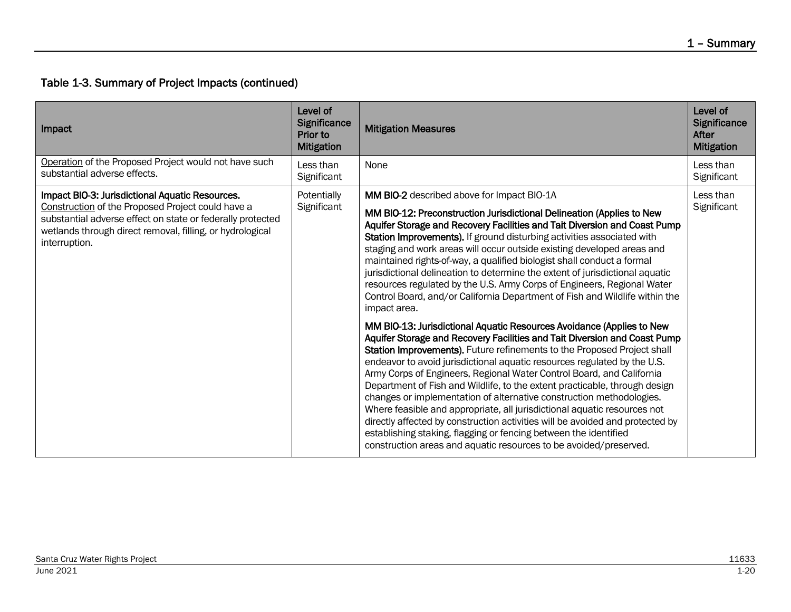| Impact                                                                                                                                                                                                                                           | Level of<br>Significance<br>Prior to<br><b>Mitigation</b> | <b>Mitigation Measures</b>                                                                                                                                                                                                                                                                                                                                                                                                                                                                                                                                                                                                                                                                                                                                                                                                                                                                                                | Level of<br>Significance<br>After<br><b>Mitigation</b> |
|--------------------------------------------------------------------------------------------------------------------------------------------------------------------------------------------------------------------------------------------------|-----------------------------------------------------------|---------------------------------------------------------------------------------------------------------------------------------------------------------------------------------------------------------------------------------------------------------------------------------------------------------------------------------------------------------------------------------------------------------------------------------------------------------------------------------------------------------------------------------------------------------------------------------------------------------------------------------------------------------------------------------------------------------------------------------------------------------------------------------------------------------------------------------------------------------------------------------------------------------------------------|--------------------------------------------------------|
| Operation of the Proposed Project would not have such<br>substantial adverse effects.                                                                                                                                                            | Less than<br>Significant                                  | None                                                                                                                                                                                                                                                                                                                                                                                                                                                                                                                                                                                                                                                                                                                                                                                                                                                                                                                      | Less than<br>Significant                               |
| Impact BIO-3: Jurisdictional Aquatic Resources.<br>Construction of the Proposed Project could have a<br>substantial adverse effect on state or federally protected<br>wetlands through direct removal, filling, or hydrological<br>interruption. | Potentially<br>Significant                                | MM BIO-2 described above for Impact BIO-1A<br>MM BIO-12: Preconstruction Jurisdictional Delineation (Applies to New<br>Aquifer Storage and Recovery Facilities and Tait Diversion and Coast Pump<br>Station Improvements). If ground disturbing activities associated with<br>staging and work areas will occur outside existing developed areas and<br>maintained rights-of-way, a qualified biologist shall conduct a formal<br>jurisdictional delineation to determine the extent of jurisdictional aquatic<br>resources regulated by the U.S. Army Corps of Engineers, Regional Water<br>Control Board, and/or California Department of Fish and Wildlife within the<br>impact area.<br>MM BIO-13: Jurisdictional Aquatic Resources Avoidance (Applies to New<br>Aquifer Storage and Recovery Facilities and Tait Diversion and Coast Pump<br>Station Improvements). Future refinements to the Proposed Project shall | Less than<br>Significant                               |
|                                                                                                                                                                                                                                                  |                                                           | endeavor to avoid jurisdictional aquatic resources regulated by the U.S.<br>Army Corps of Engineers, Regional Water Control Board, and California<br>Department of Fish and Wildlife, to the extent practicable, through design<br>changes or implementation of alternative construction methodologies.<br>Where feasible and appropriate, all jurisdictional aquatic resources not<br>directly affected by construction activities will be avoided and protected by<br>establishing staking, flagging or fencing between the identified<br>construction areas and aquatic resources to be avoided/preserved.                                                                                                                                                                                                                                                                                                             |                                                        |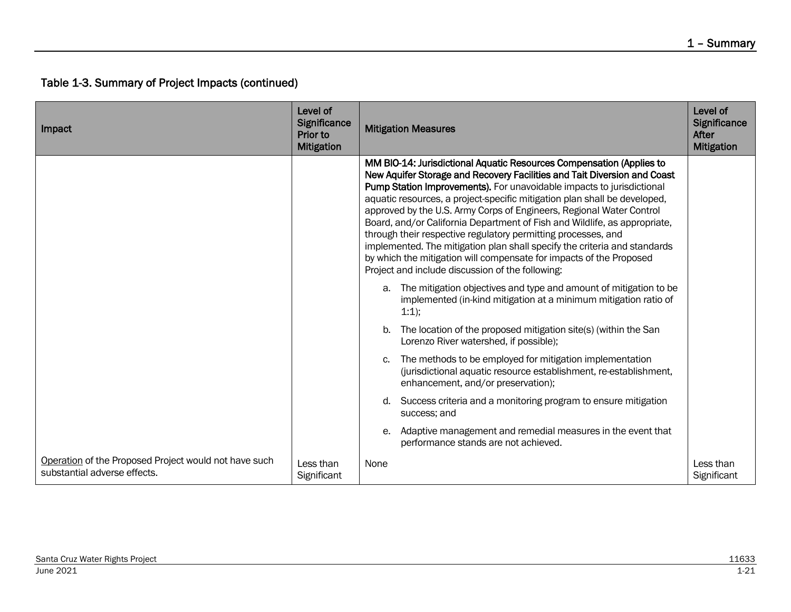| Impact                                                                                | Level of<br><b>Significance</b><br>Prior to<br><b>Mitigation</b> | <b>Mitigation Measures</b>                                                                                                                                                                                                                                                                                                                                                                                                                                                                                                                                                                                                                                                                                                           | Level of<br>Significance<br>After<br><b>Mitigation</b> |
|---------------------------------------------------------------------------------------|------------------------------------------------------------------|--------------------------------------------------------------------------------------------------------------------------------------------------------------------------------------------------------------------------------------------------------------------------------------------------------------------------------------------------------------------------------------------------------------------------------------------------------------------------------------------------------------------------------------------------------------------------------------------------------------------------------------------------------------------------------------------------------------------------------------|--------------------------------------------------------|
|                                                                                       |                                                                  | MM BIO-14: Jurisdictional Aquatic Resources Compensation (Applies to<br>New Aquifer Storage and Recovery Facilities and Tait Diversion and Coast<br>Pump Station Improvements). For unavoidable impacts to jurisdictional<br>aquatic resources, a project-specific mitigation plan shall be developed,<br>approved by the U.S. Army Corps of Engineers, Regional Water Control<br>Board, and/or California Department of Fish and Wildlife, as appropriate,<br>through their respective regulatory permitting processes, and<br>implemented. The mitigation plan shall specify the criteria and standards<br>by which the mitigation will compensate for impacts of the Proposed<br>Project and include discussion of the following: |                                                        |
|                                                                                       |                                                                  | a. The mitigation objectives and type and amount of mitigation to be<br>implemented (in-kind mitigation at a minimum mitigation ratio of<br>$1:1$ ;                                                                                                                                                                                                                                                                                                                                                                                                                                                                                                                                                                                  |                                                        |
|                                                                                       |                                                                  | The location of the proposed mitigation site(s) (within the San<br>b.<br>Lorenzo River watershed, if possible);                                                                                                                                                                                                                                                                                                                                                                                                                                                                                                                                                                                                                      |                                                        |
|                                                                                       |                                                                  | The methods to be employed for mitigation implementation<br>C.<br>(jurisdictional aquatic resource establishment, re-establishment,<br>enhancement, and/or preservation);                                                                                                                                                                                                                                                                                                                                                                                                                                                                                                                                                            |                                                        |
|                                                                                       |                                                                  | Success criteria and a monitoring program to ensure mitigation<br>d.<br>success; and                                                                                                                                                                                                                                                                                                                                                                                                                                                                                                                                                                                                                                                 |                                                        |
|                                                                                       |                                                                  | Adaptive management and remedial measures in the event that<br>е.<br>performance stands are not achieved.                                                                                                                                                                                                                                                                                                                                                                                                                                                                                                                                                                                                                            |                                                        |
| Operation of the Proposed Project would not have such<br>substantial adverse effects. | Less than<br>Significant                                         | None                                                                                                                                                                                                                                                                                                                                                                                                                                                                                                                                                                                                                                                                                                                                 | Less than<br>Significant                               |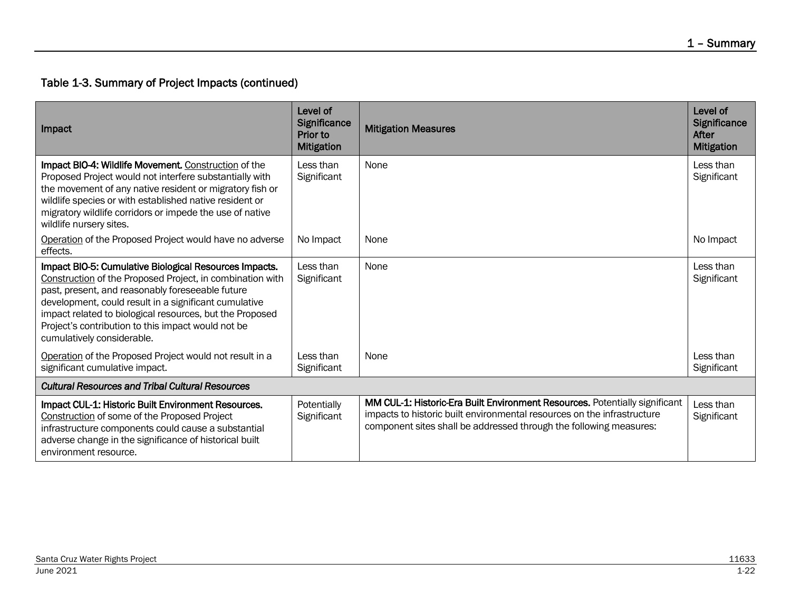| Impact                                                                                                                                                                                                                                                                                                                                                                           | Level of<br>Significance<br>Prior to<br><b>Mitigation</b> | <b>Mitigation Measures</b>                                                                                                                                                                                                   | Level of<br>Significance<br>After<br><b>Mitigation</b> |
|----------------------------------------------------------------------------------------------------------------------------------------------------------------------------------------------------------------------------------------------------------------------------------------------------------------------------------------------------------------------------------|-----------------------------------------------------------|------------------------------------------------------------------------------------------------------------------------------------------------------------------------------------------------------------------------------|--------------------------------------------------------|
| Impact BIO-4: Wildlife Movement. Construction of the<br>Proposed Project would not interfere substantially with<br>the movement of any native resident or migratory fish or<br>wildlife species or with established native resident or<br>migratory wildlife corridors or impede the use of native<br>wildlife nursery sites.                                                    | Less than<br>Significant                                  | None                                                                                                                                                                                                                         | Less than<br>Significant                               |
| Operation of the Proposed Project would have no adverse<br>effects.                                                                                                                                                                                                                                                                                                              | No Impact                                                 | None                                                                                                                                                                                                                         | No Impact                                              |
| Impact BIO-5: Cumulative Biological Resources Impacts.<br>Construction of the Proposed Project, in combination with<br>past, present, and reasonably foreseeable future<br>development, could result in a significant cumulative<br>impact related to biological resources, but the Proposed<br>Project's contribution to this impact would not be<br>cumulatively considerable. | Less than<br>Significant                                  | None                                                                                                                                                                                                                         | Less than<br>Significant                               |
| Operation of the Proposed Project would not result in a<br>significant cumulative impact.                                                                                                                                                                                                                                                                                        | Less than<br>Significant                                  | None                                                                                                                                                                                                                         | Less than<br>Significant                               |
| <b>Cultural Resources and Tribal Cultural Resources</b>                                                                                                                                                                                                                                                                                                                          |                                                           |                                                                                                                                                                                                                              |                                                        |
| Impact CUL-1: Historic Built Environment Resources.<br>Construction of some of the Proposed Project<br>infrastructure components could cause a substantial<br>adverse change in the significance of historical built<br>environment resource.                                                                                                                                    | Potentially<br>Significant                                | MM CUL-1: Historic-Era Built Environment Resources. Potentially significant<br>impacts to historic built environmental resources on the infrastructure<br>component sites shall be addressed through the following measures: | Less than<br>Significant                               |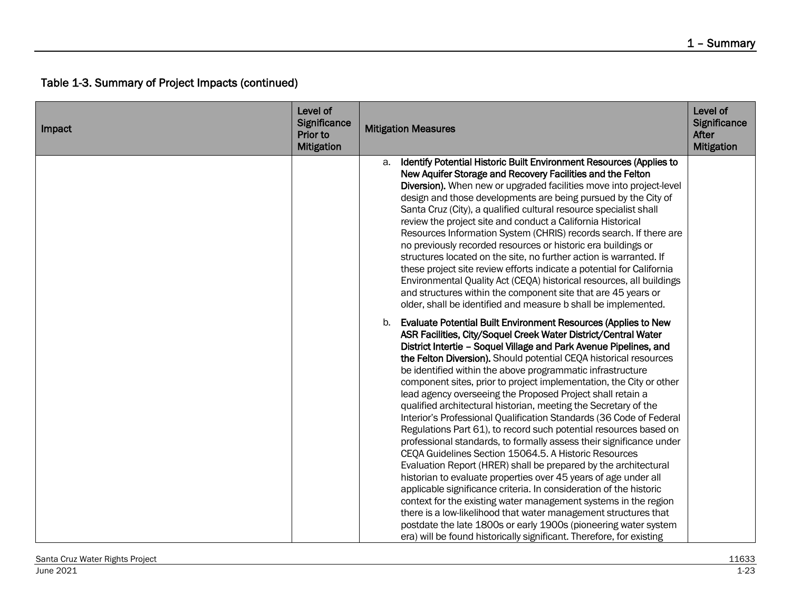| Impact | Level of<br>Significance<br>Prior to<br><b>Mitigation</b> | <b>Mitigation Measures</b>                                                                                                                                                                                                                                                                                                                                                                                                                                                                                                                                                                                                                                                                                                                                                                                                                                                                                                                                                                                                                                                                                                                                                                                                                                                                                                             | Level of<br>Significance<br><b>After</b><br><b>Mitigation</b> |
|--------|-----------------------------------------------------------|----------------------------------------------------------------------------------------------------------------------------------------------------------------------------------------------------------------------------------------------------------------------------------------------------------------------------------------------------------------------------------------------------------------------------------------------------------------------------------------------------------------------------------------------------------------------------------------------------------------------------------------------------------------------------------------------------------------------------------------------------------------------------------------------------------------------------------------------------------------------------------------------------------------------------------------------------------------------------------------------------------------------------------------------------------------------------------------------------------------------------------------------------------------------------------------------------------------------------------------------------------------------------------------------------------------------------------------|---------------------------------------------------------------|
|        |                                                           | Identify Potential Historic Built Environment Resources (Applies to<br>a.<br>New Aquifer Storage and Recovery Facilities and the Felton<br>Diversion). When new or upgraded facilities move into project-level<br>design and those developments are being pursued by the City of<br>Santa Cruz (City), a qualified cultural resource specialist shall<br>review the project site and conduct a California Historical<br>Resources Information System (CHRIS) records search. If there are<br>no previously recorded resources or historic era buildings or<br>structures located on the site, no further action is warranted. If<br>these project site review efforts indicate a potential for California<br>Environmental Quality Act (CEQA) historical resources, all buildings<br>and structures within the component site that are 45 years or<br>older, shall be identified and measure b shall be implemented.                                                                                                                                                                                                                                                                                                                                                                                                                   |                                                               |
|        |                                                           | <b>Evaluate Potential Built Environment Resources (Applies to New</b><br>b.<br>ASR Facilities, City/Soquel Creek Water District/Central Water<br>District Intertie - Soquel Village and Park Avenue Pipelines, and<br>the Felton Diversion). Should potential CEQA historical resources<br>be identified within the above programmatic infrastructure<br>component sites, prior to project implementation, the City or other<br>lead agency overseeing the Proposed Project shall retain a<br>qualified architectural historian, meeting the Secretary of the<br>Interior's Professional Qualification Standards (36 Code of Federal<br>Regulations Part 61), to record such potential resources based on<br>professional standards, to formally assess their significance under<br>CEQA Guidelines Section 15064.5. A Historic Resources<br>Evaluation Report (HRER) shall be prepared by the architectural<br>historian to evaluate properties over 45 years of age under all<br>applicable significance criteria. In consideration of the historic<br>context for the existing water management systems in the region<br>there is a low-likelihood that water management structures that<br>postdate the late 1800s or early 1900s (pioneering water system<br>era) will be found historically significant. Therefore, for existing |                                                               |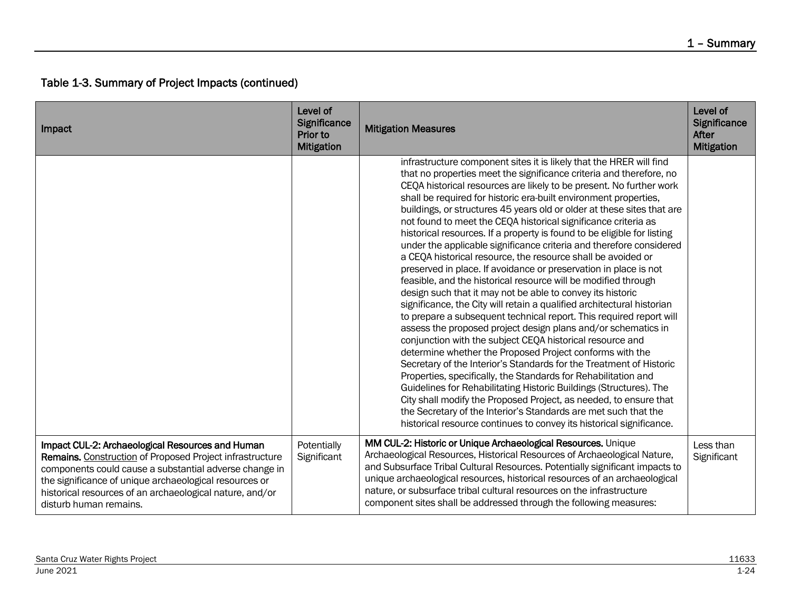| Impact                                                                                                                                                                                                                                                                                                                 | Level of<br>Significance<br>Prior to<br><b>Mitigation</b> | <b>Mitigation Measures</b>                                                                                                                                                                                                                                                                                                                                                                                                                                                                                                                                                                                                                                                                                                                                                                                                                                                                                                                                                                                                                                                                                                                                                                                                                                                                                                                                                                                                                                                                                                                                                                                                        | Level of<br>Significance<br>After<br><b>Mitigation</b> |
|------------------------------------------------------------------------------------------------------------------------------------------------------------------------------------------------------------------------------------------------------------------------------------------------------------------------|-----------------------------------------------------------|-----------------------------------------------------------------------------------------------------------------------------------------------------------------------------------------------------------------------------------------------------------------------------------------------------------------------------------------------------------------------------------------------------------------------------------------------------------------------------------------------------------------------------------------------------------------------------------------------------------------------------------------------------------------------------------------------------------------------------------------------------------------------------------------------------------------------------------------------------------------------------------------------------------------------------------------------------------------------------------------------------------------------------------------------------------------------------------------------------------------------------------------------------------------------------------------------------------------------------------------------------------------------------------------------------------------------------------------------------------------------------------------------------------------------------------------------------------------------------------------------------------------------------------------------------------------------------------------------------------------------------------|--------------------------------------------------------|
|                                                                                                                                                                                                                                                                                                                        |                                                           | infrastructure component sites it is likely that the HRER will find<br>that no properties meet the significance criteria and therefore, no<br>CEQA historical resources are likely to be present. No further work<br>shall be required for historic era-built environment properties,<br>buildings, or structures 45 years old or older at these sites that are<br>not found to meet the CEQA historical significance criteria as<br>historical resources. If a property is found to be eligible for listing<br>under the applicable significance criteria and therefore considered<br>a CEQA historical resource, the resource shall be avoided or<br>preserved in place. If avoidance or preservation in place is not<br>feasible, and the historical resource will be modified through<br>design such that it may not be able to convey its historic<br>significance, the City will retain a qualified architectural historian<br>to prepare a subsequent technical report. This required report will<br>assess the proposed project design plans and/or schematics in<br>conjunction with the subject CEQA historical resource and<br>determine whether the Proposed Project conforms with the<br>Secretary of the Interior's Standards for the Treatment of Historic<br>Properties, specifically, the Standards for Rehabilitation and<br>Guidelines for Rehabilitating Historic Buildings (Structures). The<br>City shall modify the Proposed Project, as needed, to ensure that<br>the Secretary of the Interior's Standards are met such that the<br>historical resource continues to convey its historical significance. |                                                        |
| Impact CUL-2: Archaeological Resources and Human<br>Remains. Construction of Proposed Project infrastructure<br>components could cause a substantial adverse change in<br>the significance of unique archaeological resources or<br>historical resources of an archaeological nature, and/or<br>disturb human remains. | Potentially<br>Significant                                | MM CUL-2: Historic or Unique Archaeological Resources. Unique<br>Archaeological Resources, Historical Resources of Archaeological Nature,<br>and Subsurface Tribal Cultural Resources. Potentially significant impacts to<br>unique archaeological resources, historical resources of an archaeological<br>nature, or subsurface tribal cultural resources on the infrastructure<br>component sites shall be addressed through the following measures:                                                                                                                                                                                                                                                                                                                                                                                                                                                                                                                                                                                                                                                                                                                                                                                                                                                                                                                                                                                                                                                                                                                                                                            | Less than<br>Significant                               |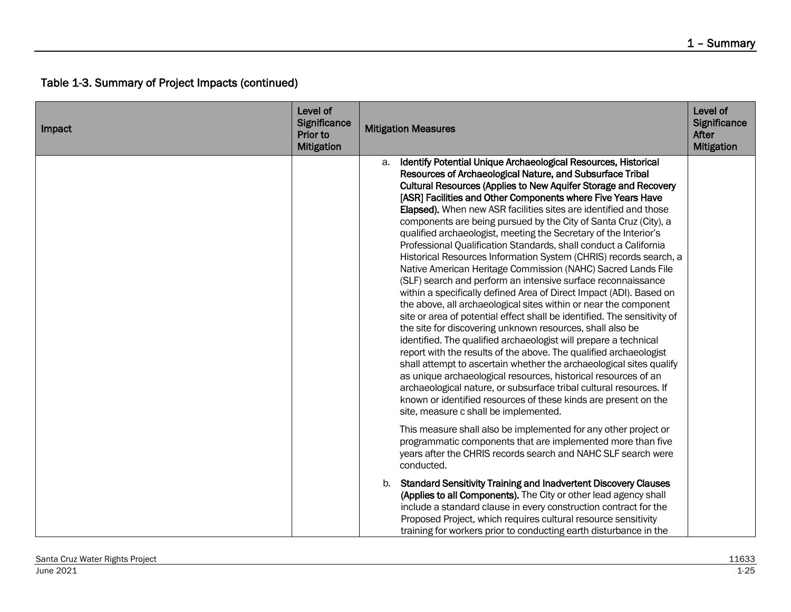| Impact | Level of<br>Significance<br>Prior to<br><b>Mitigation</b> | <b>Mitigation Measures</b>                                                                                                                                                                                                                                                                                                                                                                                                                                                                                                                                                                                                                                                                                                                                                                                                                                                                                                                                                                                                                                                                                                                                                                                                                                                                                                                                                                                                                                                                                       | Level of<br>Significance<br>After<br><b>Mitigation</b> |
|--------|-----------------------------------------------------------|------------------------------------------------------------------------------------------------------------------------------------------------------------------------------------------------------------------------------------------------------------------------------------------------------------------------------------------------------------------------------------------------------------------------------------------------------------------------------------------------------------------------------------------------------------------------------------------------------------------------------------------------------------------------------------------------------------------------------------------------------------------------------------------------------------------------------------------------------------------------------------------------------------------------------------------------------------------------------------------------------------------------------------------------------------------------------------------------------------------------------------------------------------------------------------------------------------------------------------------------------------------------------------------------------------------------------------------------------------------------------------------------------------------------------------------------------------------------------------------------------------------|--------------------------------------------------------|
|        |                                                           | Identify Potential Unique Archaeological Resources, Historical<br>а.<br>Resources of Archaeological Nature, and Subsurface Tribal<br>Cultural Resources (Applies to New Aquifer Storage and Recovery<br>[ASR] Facilities and Other Components where Five Years Have<br>Elapsed). When new ASR facilities sites are identified and those<br>components are being pursued by the City of Santa Cruz (City), a<br>qualified archaeologist, meeting the Secretary of the Interior's<br>Professional Qualification Standards, shall conduct a California<br>Historical Resources Information System (CHRIS) records search, a<br>Native American Heritage Commission (NAHC) Sacred Lands File<br>(SLF) search and perform an intensive surface reconnaissance<br>within a specifically defined Area of Direct Impact (ADI). Based on<br>the above, all archaeological sites within or near the component<br>site or area of potential effect shall be identified. The sensitivity of<br>the site for discovering unknown resources, shall also be<br>identified. The qualified archaeologist will prepare a technical<br>report with the results of the above. The qualified archaeologist<br>shall attempt to ascertain whether the archaeological sites qualify<br>as unique archaeological resources, historical resources of an<br>archaeological nature, or subsurface tribal cultural resources. If<br>known or identified resources of these kinds are present on the<br>site, measure c shall be implemented. |                                                        |
|        |                                                           | This measure shall also be implemented for any other project or<br>programmatic components that are implemented more than five<br>years after the CHRIS records search and NAHC SLF search were<br>conducted.                                                                                                                                                                                                                                                                                                                                                                                                                                                                                                                                                                                                                                                                                                                                                                                                                                                                                                                                                                                                                                                                                                                                                                                                                                                                                                    |                                                        |
|        |                                                           | b. Standard Sensitivity Training and Inadvertent Discovery Clauses<br>(Applies to all Components). The City or other lead agency shall<br>include a standard clause in every construction contract for the<br>Proposed Project, which requires cultural resource sensitivity<br>training for workers prior to conducting earth disturbance in the                                                                                                                                                                                                                                                                                                                                                                                                                                                                                                                                                                                                                                                                                                                                                                                                                                                                                                                                                                                                                                                                                                                                                                |                                                        |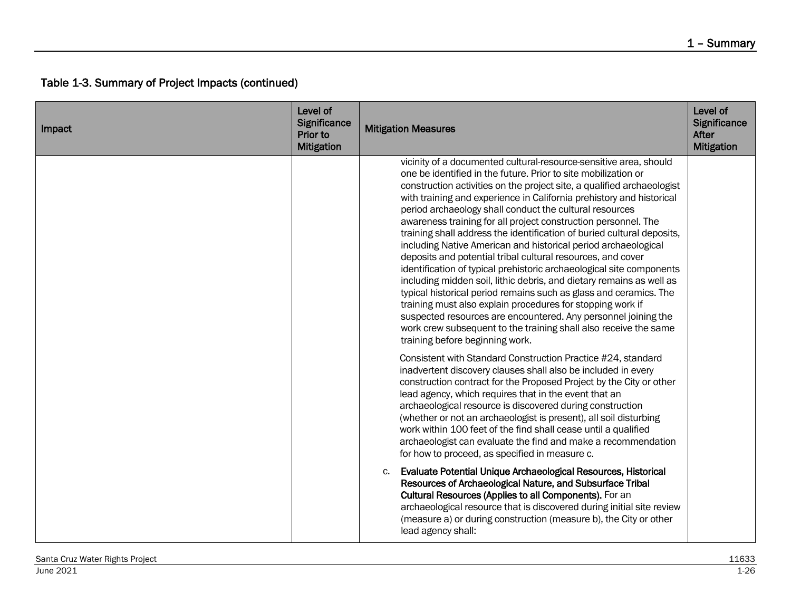| Impact | Level of<br>Significance<br>Prior to<br><b>Mitigation</b> | <b>Mitigation Measures</b>                                                                                                                                                                                                                                                                                                                                                                                                                                                                                                                                                                                                                                                                                                                                                                                                                                                                                                                                                                                                                                                                | Level of<br><b>Significance</b><br><b>After</b><br><b>Mitigation</b> |
|--------|-----------------------------------------------------------|-------------------------------------------------------------------------------------------------------------------------------------------------------------------------------------------------------------------------------------------------------------------------------------------------------------------------------------------------------------------------------------------------------------------------------------------------------------------------------------------------------------------------------------------------------------------------------------------------------------------------------------------------------------------------------------------------------------------------------------------------------------------------------------------------------------------------------------------------------------------------------------------------------------------------------------------------------------------------------------------------------------------------------------------------------------------------------------------|----------------------------------------------------------------------|
|        |                                                           | vicinity of a documented cultural-resource-sensitive area, should<br>one be identified in the future. Prior to site mobilization or<br>construction activities on the project site, a qualified archaeologist<br>with training and experience in California prehistory and historical<br>period archaeology shall conduct the cultural resources<br>awareness training for all project construction personnel. The<br>training shall address the identification of buried cultural deposits,<br>including Native American and historical period archaeological<br>deposits and potential tribal cultural resources, and cover<br>identification of typical prehistoric archaeological site components<br>including midden soil, lithic debris, and dietary remains as well as<br>typical historical period remains such as glass and ceramics. The<br>training must also explain procedures for stopping work if<br>suspected resources are encountered. Any personnel joining the<br>work crew subsequent to the training shall also receive the same<br>training before beginning work. |                                                                      |
|        |                                                           | Consistent with Standard Construction Practice #24, standard<br>inadvertent discovery clauses shall also be included in every<br>construction contract for the Proposed Project by the City or other<br>lead agency, which requires that in the event that an<br>archaeological resource is discovered during construction<br>(whether or not an archaeologist is present), all soil disturbing<br>work within 100 feet of the find shall cease until a qualified<br>archaeologist can evaluate the find and make a recommendation<br>for how to proceed, as specified in measure c.                                                                                                                                                                                                                                                                                                                                                                                                                                                                                                      |                                                                      |
|        |                                                           | Evaluate Potential Unique Archaeological Resources, Historical<br>c.<br>Resources of Archaeological Nature, and Subsurface Tribal<br>Cultural Resources (Applies to all Components). For an<br>archaeological resource that is discovered during initial site review<br>(measure a) or during construction (measure b), the City or other<br>lead agency shall:                                                                                                                                                                                                                                                                                                                                                                                                                                                                                                                                                                                                                                                                                                                           |                                                                      |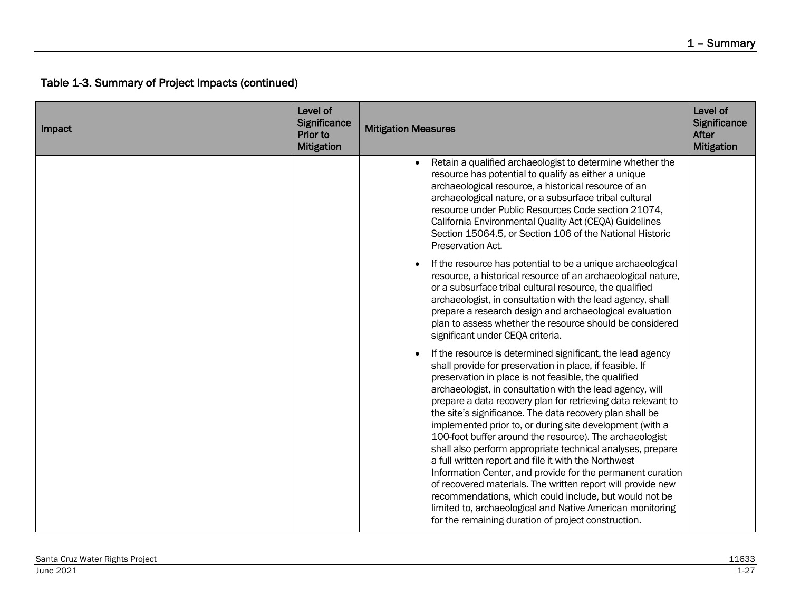| Impact | Level of<br>Significance<br>Prior to<br><b>Mitigation</b> | <b>Mitigation Measures</b>                                                                                                                                                                                                                                                                                                                                                                                                                                                                                                                                                                                                                                                                                                                                                                                                                                                                                                      | Level of<br>Significance<br>After<br><b>Mitigation</b> |
|--------|-----------------------------------------------------------|---------------------------------------------------------------------------------------------------------------------------------------------------------------------------------------------------------------------------------------------------------------------------------------------------------------------------------------------------------------------------------------------------------------------------------------------------------------------------------------------------------------------------------------------------------------------------------------------------------------------------------------------------------------------------------------------------------------------------------------------------------------------------------------------------------------------------------------------------------------------------------------------------------------------------------|--------------------------------------------------------|
|        |                                                           | Retain a qualified archaeologist to determine whether the<br>resource has potential to qualify as either a unique<br>archaeological resource, a historical resource of an<br>archaeological nature, or a subsurface tribal cultural<br>resource under Public Resources Code section 21074,<br>California Environmental Quality Act (CEQA) Guidelines<br>Section 15064.5, or Section 106 of the National Historic<br>Preservation Act.                                                                                                                                                                                                                                                                                                                                                                                                                                                                                           |                                                        |
|        |                                                           | If the resource has potential to be a unique archaeological<br>resource, a historical resource of an archaeological nature,<br>or a subsurface tribal cultural resource, the qualified<br>archaeologist, in consultation with the lead agency, shall<br>prepare a research design and archaeological evaluation<br>plan to assess whether the resource should be considered<br>significant under CEQA criteria.                                                                                                                                                                                                                                                                                                                                                                                                                                                                                                                 |                                                        |
|        |                                                           | If the resource is determined significant, the lead agency<br>shall provide for preservation in place, if feasible. If<br>preservation in place is not feasible, the qualified<br>archaeologist, in consultation with the lead agency, will<br>prepare a data recovery plan for retrieving data relevant to<br>the site's significance. The data recovery plan shall be<br>implemented prior to, or during site development (with a<br>100-foot buffer around the resource). The archaeologist<br>shall also perform appropriate technical analyses, prepare<br>a full written report and file it with the Northwest<br>Information Center, and provide for the permanent curation<br>of recovered materials. The written report will provide new<br>recommendations, which could include, but would not be<br>limited to, archaeological and Native American monitoring<br>for the remaining duration of project construction. |                                                        |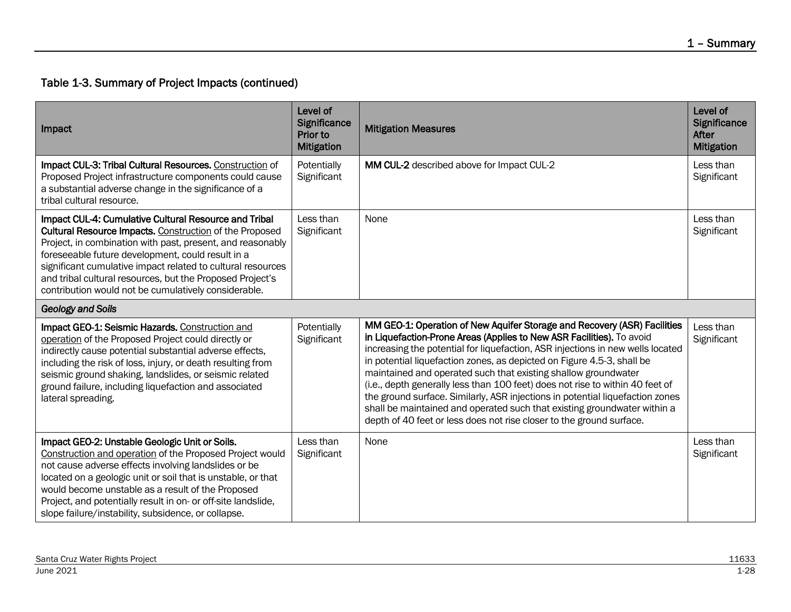| Impact                                                                                                                                                                                                                                                                                                                                                                                                                  | Level of<br>Significance<br>Prior to<br><b>Mitigation</b> | <b>Mitigation Measures</b>                                                                                                                                                                                                                                                                                                                                                                                                                                                                                                                                                                                                                                                                            | Level of<br>Significance<br>After<br><b>Mitigation</b> |
|-------------------------------------------------------------------------------------------------------------------------------------------------------------------------------------------------------------------------------------------------------------------------------------------------------------------------------------------------------------------------------------------------------------------------|-----------------------------------------------------------|-------------------------------------------------------------------------------------------------------------------------------------------------------------------------------------------------------------------------------------------------------------------------------------------------------------------------------------------------------------------------------------------------------------------------------------------------------------------------------------------------------------------------------------------------------------------------------------------------------------------------------------------------------------------------------------------------------|--------------------------------------------------------|
| Impact CUL-3: Tribal Cultural Resources. Construction of<br>Proposed Project infrastructure components could cause<br>a substantial adverse change in the significance of a<br>tribal cultural resource.                                                                                                                                                                                                                | Potentially<br>Significant                                | MM CUL-2 described above for Impact CUL-2                                                                                                                                                                                                                                                                                                                                                                                                                                                                                                                                                                                                                                                             | Less than<br>Significant                               |
| Impact CUL-4: Cumulative Cultural Resource and Tribal<br>Cultural Resource Impacts. Construction of the Proposed<br>Project, in combination with past, present, and reasonably<br>foreseeable future development, could result in a<br>significant cumulative impact related to cultural resources<br>and tribal cultural resources, but the Proposed Project's<br>contribution would not be cumulatively considerable. | Less than<br>Significant                                  | None                                                                                                                                                                                                                                                                                                                                                                                                                                                                                                                                                                                                                                                                                                  | Less than<br>Significant                               |
| <b>Geology and Soils</b>                                                                                                                                                                                                                                                                                                                                                                                                |                                                           |                                                                                                                                                                                                                                                                                                                                                                                                                                                                                                                                                                                                                                                                                                       |                                                        |
| Impact GEO-1: Seismic Hazards. Construction and<br>operation of the Proposed Project could directly or<br>indirectly cause potential substantial adverse effects,<br>including the risk of loss, injury, or death resulting from<br>seismic ground shaking, landslides, or seismic related<br>ground failure, including liquefaction and associated<br>lateral spreading.                                               | Potentially<br>Significant                                | MM GEO-1: Operation of New Aquifer Storage and Recovery (ASR) Facilities<br>in Liquefaction-Prone Areas (Applies to New ASR Facilities). To avoid<br>increasing the potential for liquefaction, ASR injections in new wells located<br>in potential liquefaction zones, as depicted on Figure 4.5-3, shall be<br>maintained and operated such that existing shallow groundwater<br>(i.e., depth generally less than 100 feet) does not rise to within 40 feet of<br>the ground surface. Similarly, ASR injections in potential liquefaction zones<br>shall be maintained and operated such that existing groundwater within a<br>depth of 40 feet or less does not rise closer to the ground surface. | Less than<br>Significant                               |
| Impact GEO-2: Unstable Geologic Unit or Soils.<br>Construction and operation of the Proposed Project would<br>not cause adverse effects involving landslides or be<br>located on a geologic unit or soil that is unstable, or that<br>would become unstable as a result of the Proposed<br>Project, and potentially result in on- or off-site landslide,<br>slope failure/instability, subsidence, or collapse.         | Less than<br>Significant                                  | None                                                                                                                                                                                                                                                                                                                                                                                                                                                                                                                                                                                                                                                                                                  | Less than<br>Significant                               |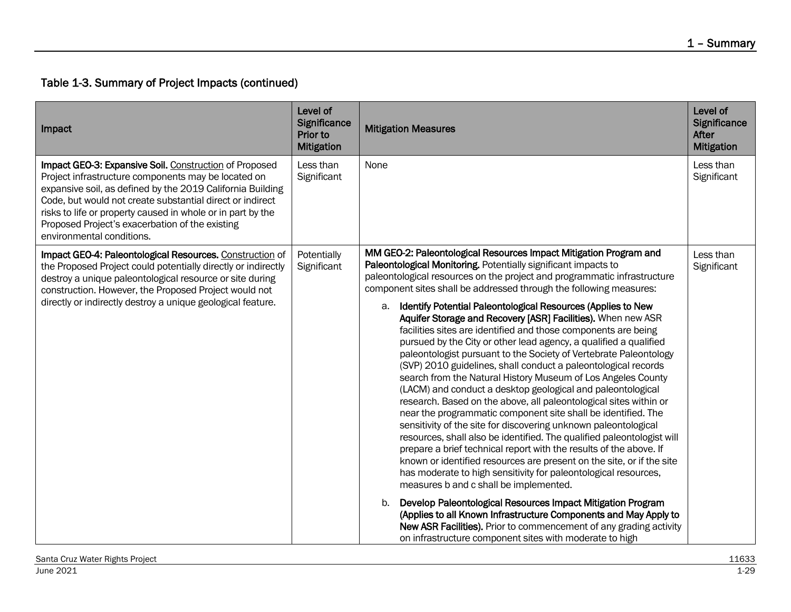| Impact                                                                                                                                                                                                                                                                                                                                                                                  | Level of<br>Significance<br>Prior to<br><b>Mitigation</b> | <b>Mitigation Measures</b>                                                                                                                                                                                                                                                                                                                                                                                                                                                                                                                                                                                                                                                                                                                                                                                                                                                                                                                                                                                                                                                                                                                                                                                                                                                                                                                                                                                                                                                                                                                                                                                                                                     | Level of<br>Significance<br>After<br><b>Mitigation</b> |
|-----------------------------------------------------------------------------------------------------------------------------------------------------------------------------------------------------------------------------------------------------------------------------------------------------------------------------------------------------------------------------------------|-----------------------------------------------------------|----------------------------------------------------------------------------------------------------------------------------------------------------------------------------------------------------------------------------------------------------------------------------------------------------------------------------------------------------------------------------------------------------------------------------------------------------------------------------------------------------------------------------------------------------------------------------------------------------------------------------------------------------------------------------------------------------------------------------------------------------------------------------------------------------------------------------------------------------------------------------------------------------------------------------------------------------------------------------------------------------------------------------------------------------------------------------------------------------------------------------------------------------------------------------------------------------------------------------------------------------------------------------------------------------------------------------------------------------------------------------------------------------------------------------------------------------------------------------------------------------------------------------------------------------------------------------------------------------------------------------------------------------------------|--------------------------------------------------------|
| Impact GEO-3: Expansive Soil. Construction of Proposed<br>Project infrastructure components may be located on<br>expansive soil, as defined by the 2019 California Building<br>Code, but would not create substantial direct or indirect<br>risks to life or property caused in whole or in part by the<br>Proposed Project's exacerbation of the existing<br>environmental conditions. | Less than<br>Significant                                  | None                                                                                                                                                                                                                                                                                                                                                                                                                                                                                                                                                                                                                                                                                                                                                                                                                                                                                                                                                                                                                                                                                                                                                                                                                                                                                                                                                                                                                                                                                                                                                                                                                                                           | Less than<br>Significant                               |
| Impact GEO-4: Paleontological Resources. Construction of<br>the Proposed Project could potentially directly or indirectly<br>destroy a unique paleontological resource or site during<br>construction. However, the Proposed Project would not<br>directly or indirectly destroy a unique geological feature.                                                                           | Potentially<br>Significant                                | MM GEO-2: Paleontological Resources Impact Mitigation Program and<br>Paleontological Monitoring. Potentially significant impacts to<br>paleontological resources on the project and programmatic infrastructure<br>component sites shall be addressed through the following measures:<br>a. Identify Potential Paleontological Resources (Applies to New<br>Aquifer Storage and Recovery [ASR] Facilities). When new ASR<br>facilities sites are identified and those components are being<br>pursued by the City or other lead agency, a qualified a qualified<br>paleontologist pursuant to the Society of Vertebrate Paleontology<br>(SVP) 2010 guidelines, shall conduct a paleontological records<br>search from the Natural History Museum of Los Angeles County<br>(LACM) and conduct a desktop geological and paleontological<br>research. Based on the above, all paleontological sites within or<br>near the programmatic component site shall be identified. The<br>sensitivity of the site for discovering unknown paleontological<br>resources, shall also be identified. The qualified paleontologist will<br>prepare a brief technical report with the results of the above. If<br>known or identified resources are present on the site, or if the site<br>has moderate to high sensitivity for paleontological resources,<br>measures b and c shall be implemented.<br>Develop Paleontological Resources Impact Mitigation Program<br>b.<br>(Applies to all Known Infrastructure Components and May Apply to<br>New ASR Facilities). Prior to commencement of any grading activity<br>on infrastructure component sites with moderate to high | Less than<br>Significant                               |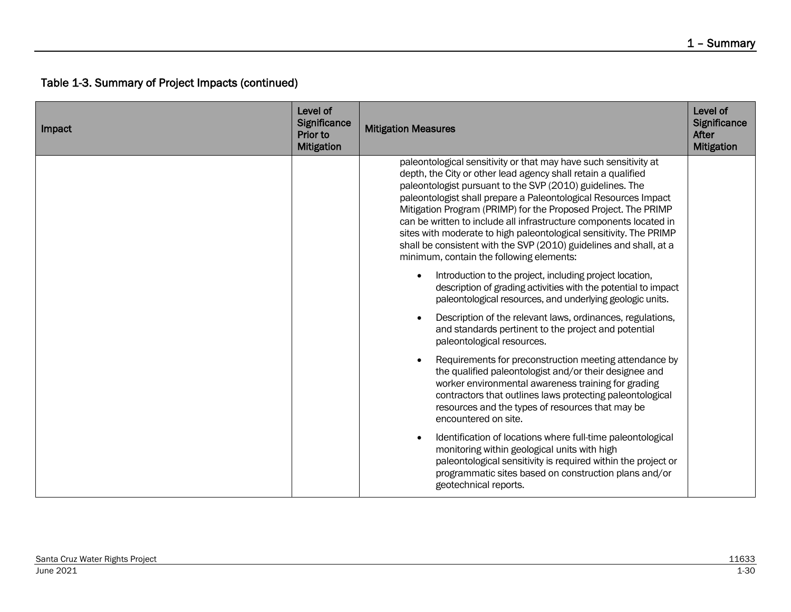| Impact | Level of<br>Significance<br>Prior to<br><b>Mitigation</b> | <b>Mitigation Measures</b>                                                                                                                                                                                                                                                                                                                                                                                                                                                                                                                                                                        | Level of<br>Significance<br>After<br><b>Mitigation</b> |
|--------|-----------------------------------------------------------|---------------------------------------------------------------------------------------------------------------------------------------------------------------------------------------------------------------------------------------------------------------------------------------------------------------------------------------------------------------------------------------------------------------------------------------------------------------------------------------------------------------------------------------------------------------------------------------------------|--------------------------------------------------------|
|        |                                                           | paleontological sensitivity or that may have such sensitivity at<br>depth, the City or other lead agency shall retain a qualified<br>paleontologist pursuant to the SVP (2010) guidelines. The<br>paleontologist shall prepare a Paleontological Resources Impact<br>Mitigation Program (PRIMP) for the Proposed Project. The PRIMP<br>can be written to include all infrastructure components located in<br>sites with moderate to high paleontological sensitivity. The PRIMP<br>shall be consistent with the SVP (2010) guidelines and shall, at a<br>minimum, contain the following elements: |                                                        |
|        |                                                           | Introduction to the project, including project location,<br>description of grading activities with the potential to impact<br>paleontological resources, and underlying geologic units.                                                                                                                                                                                                                                                                                                                                                                                                           |                                                        |
|        |                                                           | Description of the relevant laws, ordinances, regulations,<br>and standards pertinent to the project and potential<br>paleontological resources.                                                                                                                                                                                                                                                                                                                                                                                                                                                  |                                                        |
|        |                                                           | Requirements for preconstruction meeting attendance by<br>the qualified paleontologist and/or their designee and<br>worker environmental awareness training for grading<br>contractors that outlines laws protecting paleontological<br>resources and the types of resources that may be<br>encountered on site.                                                                                                                                                                                                                                                                                  |                                                        |
|        |                                                           | Identification of locations where full-time paleontological<br>monitoring within geological units with high<br>paleontological sensitivity is required within the project or<br>programmatic sites based on construction plans and/or<br>geotechnical reports.                                                                                                                                                                                                                                                                                                                                    |                                                        |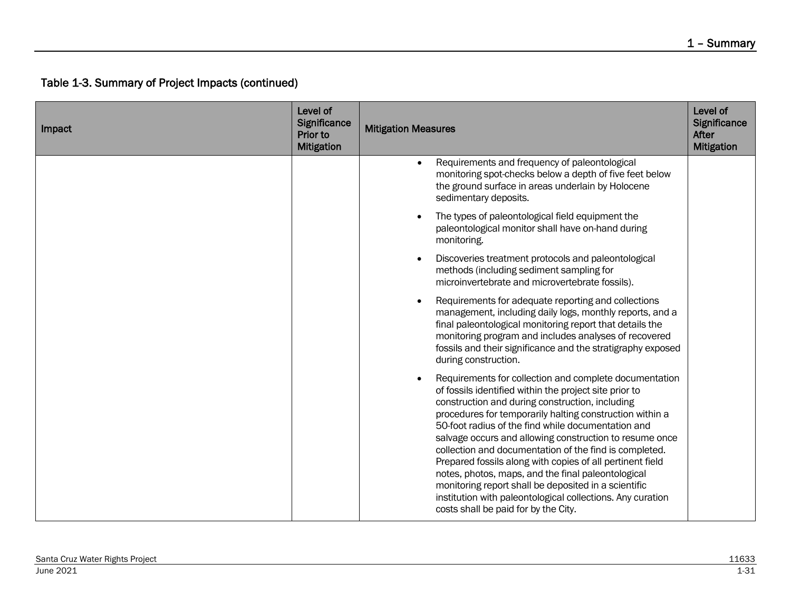| Impact | Level of<br>Significance<br>Prior to<br><b>Mitigation</b> | <b>Mitigation Measures</b>                                                                                                                                                                                                                                                                                                                                                                                                                                                                                                                                                                                                                                                                  | Level of<br>Significance<br>After<br><b>Mitigation</b> |
|--------|-----------------------------------------------------------|---------------------------------------------------------------------------------------------------------------------------------------------------------------------------------------------------------------------------------------------------------------------------------------------------------------------------------------------------------------------------------------------------------------------------------------------------------------------------------------------------------------------------------------------------------------------------------------------------------------------------------------------------------------------------------------------|--------------------------------------------------------|
|        |                                                           | Requirements and frequency of paleontological<br>monitoring spot-checks below a depth of five feet below<br>the ground surface in areas underlain by Holocene<br>sedimentary deposits.                                                                                                                                                                                                                                                                                                                                                                                                                                                                                                      |                                                        |
|        |                                                           | The types of paleontological field equipment the<br>paleontological monitor shall have on-hand during<br>monitoring.                                                                                                                                                                                                                                                                                                                                                                                                                                                                                                                                                                        |                                                        |
|        |                                                           | Discoveries treatment protocols and paleontological<br>methods (including sediment sampling for<br>microinvertebrate and microvertebrate fossils).                                                                                                                                                                                                                                                                                                                                                                                                                                                                                                                                          |                                                        |
|        |                                                           | Requirements for adequate reporting and collections<br>management, including daily logs, monthly reports, and a<br>final paleontological monitoring report that details the<br>monitoring program and includes analyses of recovered<br>fossils and their significance and the stratigraphy exposed<br>during construction.                                                                                                                                                                                                                                                                                                                                                                 |                                                        |
|        |                                                           | Requirements for collection and complete documentation<br>of fossils identified within the project site prior to<br>construction and during construction, including<br>procedures for temporarily halting construction within a<br>50-foot radius of the find while documentation and<br>salvage occurs and allowing construction to resume once<br>collection and documentation of the find is completed.<br>Prepared fossils along with copies of all pertinent field<br>notes, photos, maps, and the final paleontological<br>monitoring report shall be deposited in a scientific<br>institution with paleontological collections. Any curation<br>costs shall be paid for by the City. |                                                        |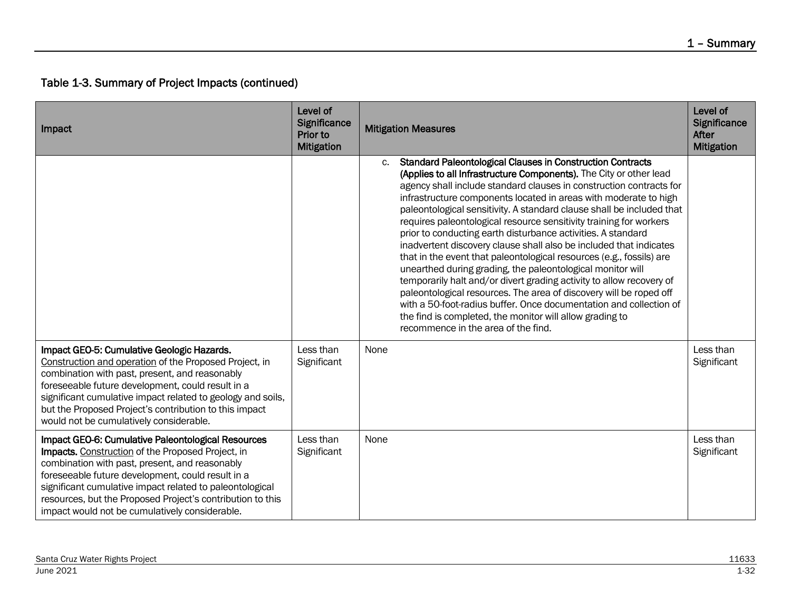| Impact                                                                                                                                                                                                                                                                                                                                                                                     | Level of<br>Significance<br>Prior to<br><b>Mitigation</b> | <b>Mitigation Measures</b>                                                                                                                                                                                                                                                                                                                                                                                                                                                                                                                                                                                                                                                                                                                                                                                                                                                                                                                                                                                                                 | Level of<br>Significance<br>After<br><b>Mitigation</b> |
|--------------------------------------------------------------------------------------------------------------------------------------------------------------------------------------------------------------------------------------------------------------------------------------------------------------------------------------------------------------------------------------------|-----------------------------------------------------------|--------------------------------------------------------------------------------------------------------------------------------------------------------------------------------------------------------------------------------------------------------------------------------------------------------------------------------------------------------------------------------------------------------------------------------------------------------------------------------------------------------------------------------------------------------------------------------------------------------------------------------------------------------------------------------------------------------------------------------------------------------------------------------------------------------------------------------------------------------------------------------------------------------------------------------------------------------------------------------------------------------------------------------------------|--------------------------------------------------------|
|                                                                                                                                                                                                                                                                                                                                                                                            |                                                           | <b>Standard Paleontological Clauses in Construction Contracts</b><br>c.<br>(Applies to all Infrastructure Components). The City or other lead<br>agency shall include standard clauses in construction contracts for<br>infrastructure components located in areas with moderate to high<br>paleontological sensitivity. A standard clause shall be included that<br>requires paleontological resource sensitivity training for workers<br>prior to conducting earth disturbance activities. A standard<br>inadvertent discovery clause shall also be included that indicates<br>that in the event that paleontological resources (e.g., fossils) are<br>unearthed during grading, the paleontological monitor will<br>temporarily halt and/or divert grading activity to allow recovery of<br>paleontological resources. The area of discovery will be roped off<br>with a 50-foot-radius buffer. Once documentation and collection of<br>the find is completed, the monitor will allow grading to<br>recommence in the area of the find. |                                                        |
| Impact GEO-5: Cumulative Geologic Hazards.<br>Construction and operation of the Proposed Project, in<br>combination with past, present, and reasonably<br>foreseeable future development, could result in a<br>significant cumulative impact related to geology and soils,<br>but the Proposed Project's contribution to this impact<br>would not be cumulatively considerable.            | Less than<br>Significant                                  | None                                                                                                                                                                                                                                                                                                                                                                                                                                                                                                                                                                                                                                                                                                                                                                                                                                                                                                                                                                                                                                       | Less than<br>Significant                               |
| Impact GEO-6: Cumulative Paleontological Resources<br>Impacts. Construction of the Proposed Project, in<br>combination with past, present, and reasonably<br>foreseeable future development, could result in a<br>significant cumulative impact related to paleontological<br>resources, but the Proposed Project's contribution to this<br>impact would not be cumulatively considerable. | Less than<br>Significant                                  | None                                                                                                                                                                                                                                                                                                                                                                                                                                                                                                                                                                                                                                                                                                                                                                                                                                                                                                                                                                                                                                       | Less than<br>Significant                               |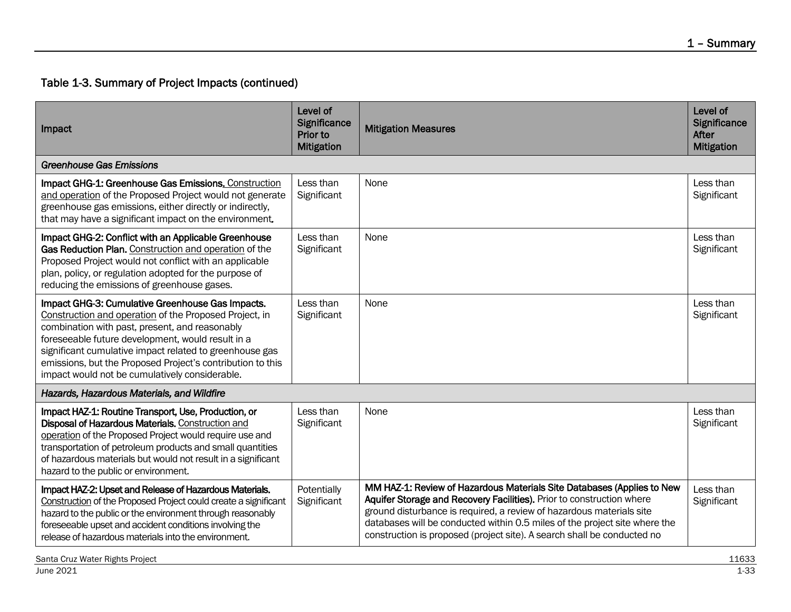| Impact                                                                                                                                                                                                                                                                                                                                                                                       | Level of<br>Significance<br>Prior to<br><b>Mitigation</b> | <b>Mitigation Measures</b>                                                                                                                                                                                                                                                                                                                                                       | Level of<br><b>Significance</b><br>After<br><b>Mitigation</b> |
|----------------------------------------------------------------------------------------------------------------------------------------------------------------------------------------------------------------------------------------------------------------------------------------------------------------------------------------------------------------------------------------------|-----------------------------------------------------------|----------------------------------------------------------------------------------------------------------------------------------------------------------------------------------------------------------------------------------------------------------------------------------------------------------------------------------------------------------------------------------|---------------------------------------------------------------|
| <b>Greenhouse Gas Emissions</b>                                                                                                                                                                                                                                                                                                                                                              |                                                           |                                                                                                                                                                                                                                                                                                                                                                                  |                                                               |
| Impact GHG-1: Greenhouse Gas Emissions. Construction<br>and operation of the Proposed Project would not generate<br>greenhouse gas emissions, either directly or indirectly,<br>that may have a significant impact on the environment.                                                                                                                                                       | Less than<br>Significant                                  | None                                                                                                                                                                                                                                                                                                                                                                             | Less than<br>Significant                                      |
| Impact GHG-2: Conflict with an Applicable Greenhouse<br>Gas Reduction Plan. Construction and operation of the<br>Proposed Project would not conflict with an applicable<br>plan, policy, or regulation adopted for the purpose of<br>reducing the emissions of greenhouse gases.                                                                                                             | Less than<br>Significant                                  | None                                                                                                                                                                                                                                                                                                                                                                             | Less than<br>Significant                                      |
| Impact GHG-3: Cumulative Greenhouse Gas Impacts.<br>Construction and operation of the Proposed Project, in<br>combination with past, present, and reasonably<br>foreseeable future development, would result in a<br>significant cumulative impact related to greenhouse gas<br>emissions, but the Proposed Project's contribution to this<br>impact would not be cumulatively considerable. | Less than<br>Significant                                  | None                                                                                                                                                                                                                                                                                                                                                                             | Less than<br>Significant                                      |
| Hazards, Hazardous Materials, and Wildfire                                                                                                                                                                                                                                                                                                                                                   |                                                           |                                                                                                                                                                                                                                                                                                                                                                                  |                                                               |
| Impact HAZ-1: Routine Transport, Use, Production, or<br>Disposal of Hazardous Materials. Construction and<br>operation of the Proposed Project would require use and<br>transportation of petroleum products and small quantities<br>of hazardous materials but would not result in a significant<br>hazard to the public or environment.                                                    | Less than<br>Significant                                  | None                                                                                                                                                                                                                                                                                                                                                                             | Less than<br>Significant                                      |
| Impact HAZ-2: Upset and Release of Hazardous Materials.<br>Construction of the Proposed Project could create a significant<br>hazard to the public or the environment through reasonably<br>foreseeable upset and accident conditions involving the<br>release of hazardous materials into the environment.                                                                                  | Potentially<br>Significant                                | MM HAZ-1: Review of Hazardous Materials Site Databases (Applies to New<br>Aquifer Storage and Recovery Facilities). Prior to construction where<br>ground disturbance is required, a review of hazardous materials site<br>databases will be conducted within 0.5 miles of the project site where the<br>construction is proposed (project site). A search shall be conducted no | Less than<br>Significant                                      |

Santa Cruz Water Rights Project 11633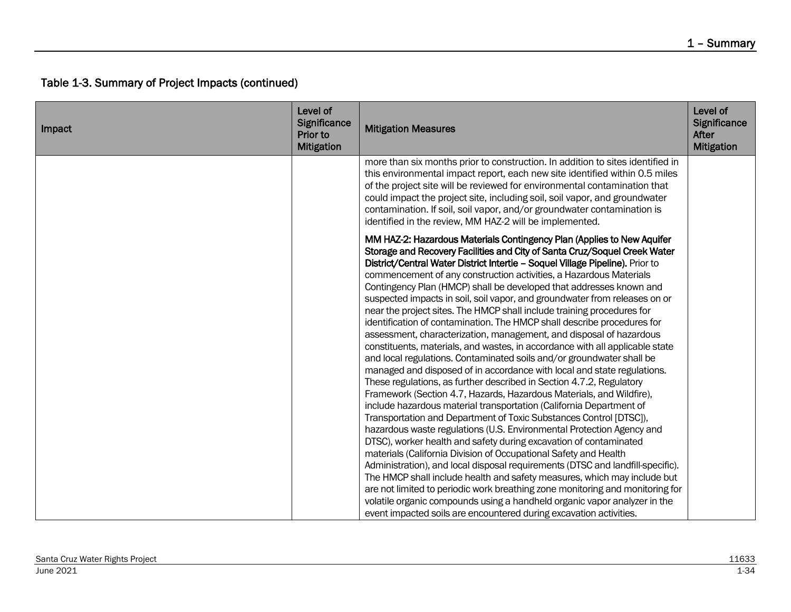| Impact | Level of<br>Significance<br>Prior to<br><b>Mitigation</b> | <b>Mitigation Measures</b>                                                                                                                                                                                                                                                                                                                                                                                                                                                                                                                                                                                                                                                                                                                                                                                                                                                                                                                                                                                                                                                                                                                                                                                                                                                                                                                                                                                                                                                                                                                                                                                                                                                                                                                                                                                                                       | Level of<br>Significance<br>After<br><b>Mitigation</b> |
|--------|-----------------------------------------------------------|--------------------------------------------------------------------------------------------------------------------------------------------------------------------------------------------------------------------------------------------------------------------------------------------------------------------------------------------------------------------------------------------------------------------------------------------------------------------------------------------------------------------------------------------------------------------------------------------------------------------------------------------------------------------------------------------------------------------------------------------------------------------------------------------------------------------------------------------------------------------------------------------------------------------------------------------------------------------------------------------------------------------------------------------------------------------------------------------------------------------------------------------------------------------------------------------------------------------------------------------------------------------------------------------------------------------------------------------------------------------------------------------------------------------------------------------------------------------------------------------------------------------------------------------------------------------------------------------------------------------------------------------------------------------------------------------------------------------------------------------------------------------------------------------------------------------------------------------------|--------------------------------------------------------|
|        |                                                           | more than six months prior to construction. In addition to sites identified in<br>this environmental impact report, each new site identified within 0.5 miles<br>of the project site will be reviewed for environmental contamination that<br>could impact the project site, including soil, soil vapor, and groundwater<br>contamination. If soil, soil vapor, and/or groundwater contamination is<br>identified in the review, MM HAZ-2 will be implemented.                                                                                                                                                                                                                                                                                                                                                                                                                                                                                                                                                                                                                                                                                                                                                                                                                                                                                                                                                                                                                                                                                                                                                                                                                                                                                                                                                                                   |                                                        |
|        |                                                           | MM HAZ-2: Hazardous Materials Contingency Plan (Applies to New Aquifer<br>Storage and Recovery Facilities and City of Santa Cruz/Soquel Creek Water<br>District/Central Water District Intertie - Soquel Village Pipeline). Prior to<br>commencement of any construction activities, a Hazardous Materials<br>Contingency Plan (HMCP) shall be developed that addresses known and<br>suspected impacts in soil, soil vapor, and groundwater from releases on or<br>near the project sites. The HMCP shall include training procedures for<br>identification of contamination. The HMCP shall describe procedures for<br>assessment, characterization, management, and disposal of hazardous<br>constituents, materials, and wastes, in accordance with all applicable state<br>and local regulations. Contaminated soils and/or groundwater shall be<br>managed and disposed of in accordance with local and state regulations.<br>These regulations, as further described in Section 4.7.2, Regulatory<br>Framework (Section 4.7, Hazards, Hazardous Materials, and Wildfire),<br>include hazardous material transportation (California Department of<br>Transportation and Department of Toxic Substances Control [DTSC]),<br>hazardous waste regulations (U.S. Environmental Protection Agency and<br>DTSC), worker health and safety during excavation of contaminated<br>materials (California Division of Occupational Safety and Health<br>Administration), and local disposal requirements (DTSC and landfill-specific).<br>The HMCP shall include health and safety measures, which may include but<br>are not limited to periodic work breathing zone monitoring and monitoring for<br>volatile organic compounds using a handheld organic vapor analyzer in the<br>event impacted soils are encountered during excavation activities. |                                                        |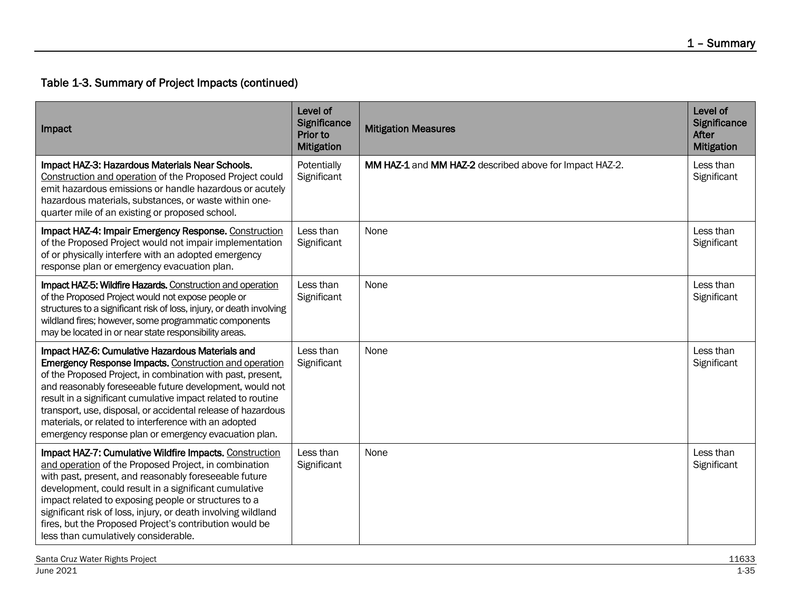| Impact                                                                                                                                                                                                                                                                                                                                                                                                                                                                                         | Level of<br>Significance<br>Prior to<br><b>Mitigation</b> | <b>Mitigation Measures</b>                              | Level of<br><b>Significance</b><br><b>After</b><br><b>Mitigation</b> |
|------------------------------------------------------------------------------------------------------------------------------------------------------------------------------------------------------------------------------------------------------------------------------------------------------------------------------------------------------------------------------------------------------------------------------------------------------------------------------------------------|-----------------------------------------------------------|---------------------------------------------------------|----------------------------------------------------------------------|
| Impact HAZ-3: Hazardous Materials Near Schools.<br>Construction and operation of the Proposed Project could<br>emit hazardous emissions or handle hazardous or acutely<br>hazardous materials, substances, or waste within one-<br>quarter mile of an existing or proposed school.                                                                                                                                                                                                             | Potentially<br>Significant                                | MM HAZ-1 and MM HAZ-2 described above for Impact HAZ-2. | Less than<br>Significant                                             |
| Impact HAZ-4: Impair Emergency Response. Construction<br>of the Proposed Project would not impair implementation<br>of or physically interfere with an adopted emergency<br>response plan or emergency evacuation plan.                                                                                                                                                                                                                                                                        | Less than<br>Significant                                  | None                                                    | Less than<br>Significant                                             |
| Impact HAZ-5: Wildfire Hazards. Construction and operation<br>of the Proposed Project would not expose people or<br>structures to a significant risk of loss, injury, or death involving<br>wildland fires; however, some programmatic components<br>may be located in or near state responsibility areas.                                                                                                                                                                                     | Less than<br>Significant                                  | None                                                    | Less than<br>Significant                                             |
| Impact HAZ-6: Cumulative Hazardous Materials and<br><b>Emergency Response Impacts. Construction and operation</b><br>of the Proposed Project, in combination with past, present,<br>and reasonably foreseeable future development, would not<br>result in a significant cumulative impact related to routine<br>transport, use, disposal, or accidental release of hazardous<br>materials, or related to interference with an adopted<br>emergency response plan or emergency evacuation plan. | Less than<br>Significant                                  | None                                                    | Less than<br>Significant                                             |
| Impact HAZ-7: Cumulative Wildfire Impacts. Construction<br>and operation of the Proposed Project, in combination<br>with past, present, and reasonably foreseeable future<br>development, could result in a significant cumulative<br>impact related to exposing people or structures to a<br>significant risk of loss, injury, or death involving wildland<br>fires, but the Proposed Project's contribution would be<br>less than cumulatively considerable.                                 | Less than<br>Significant                                  | None                                                    | Less than<br>Significant                                             |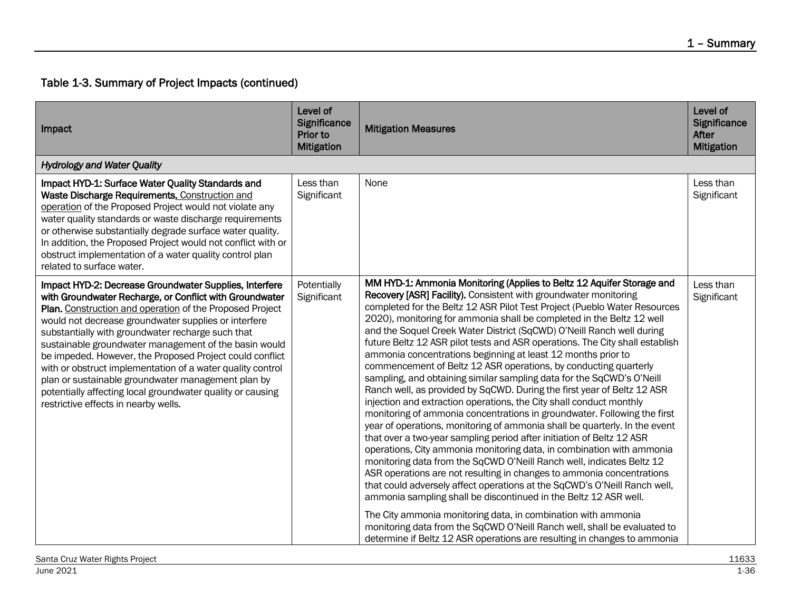| Impact                                                                                                                                                                                                                                                                                                                                                                                                                                                                                                                                                                                                                                    | Level of<br>Significance<br>Prior to<br><b>Mitigation</b> | <b>Mitigation Measures</b>                                                                                                                                                                                                                                                                                                                                                                                                                                                                                                                                                                                                                                                                                                                                                                                                                                                                                                                                                                                                                                                                                                                                                                                                                                                                                                                                                                                                                                                                                                                                                                                                                                      | Level of<br><b>Significance</b><br><b>After</b><br><b>Mitigation</b> |
|-------------------------------------------------------------------------------------------------------------------------------------------------------------------------------------------------------------------------------------------------------------------------------------------------------------------------------------------------------------------------------------------------------------------------------------------------------------------------------------------------------------------------------------------------------------------------------------------------------------------------------------------|-----------------------------------------------------------|-----------------------------------------------------------------------------------------------------------------------------------------------------------------------------------------------------------------------------------------------------------------------------------------------------------------------------------------------------------------------------------------------------------------------------------------------------------------------------------------------------------------------------------------------------------------------------------------------------------------------------------------------------------------------------------------------------------------------------------------------------------------------------------------------------------------------------------------------------------------------------------------------------------------------------------------------------------------------------------------------------------------------------------------------------------------------------------------------------------------------------------------------------------------------------------------------------------------------------------------------------------------------------------------------------------------------------------------------------------------------------------------------------------------------------------------------------------------------------------------------------------------------------------------------------------------------------------------------------------------------------------------------------------------|----------------------------------------------------------------------|
| <b>Hydrology and Water Quality</b>                                                                                                                                                                                                                                                                                                                                                                                                                                                                                                                                                                                                        |                                                           |                                                                                                                                                                                                                                                                                                                                                                                                                                                                                                                                                                                                                                                                                                                                                                                                                                                                                                                                                                                                                                                                                                                                                                                                                                                                                                                                                                                                                                                                                                                                                                                                                                                                 |                                                                      |
| Impact HYD-1: Surface Water Quality Standards and<br>Waste Discharge Requirements. Construction and<br>operation of the Proposed Project would not violate any<br>water quality standards or waste discharge requirements<br>or otherwise substantially degrade surface water quality.<br>In addition, the Proposed Project would not conflict with or<br>obstruct implementation of a water quality control plan<br>related to surface water.                                                                                                                                                                                            | Less than<br>Significant                                  | None                                                                                                                                                                                                                                                                                                                                                                                                                                                                                                                                                                                                                                                                                                                                                                                                                                                                                                                                                                                                                                                                                                                                                                                                                                                                                                                                                                                                                                                                                                                                                                                                                                                            | Less than<br>Significant                                             |
| Impact HYD-2: Decrease Groundwater Supplies, Interfere<br>with Groundwater Recharge, or Conflict with Groundwater<br>Plan. Construction and operation of the Proposed Project<br>would not decrease groundwater supplies or interfere<br>substantially with groundwater recharge such that<br>sustainable groundwater management of the basin would<br>be impeded. However, the Proposed Project could conflict<br>with or obstruct implementation of a water quality control<br>plan or sustainable groundwater management plan by<br>potentially affecting local groundwater quality or causing<br>restrictive effects in nearby wells. | Potentially<br>Significant                                | MM HYD-1: Ammonia Monitoring (Applies to Beltz 12 Aquifer Storage and<br>Recovery [ASR] Facility). Consistent with groundwater monitoring<br>completed for the Beltz 12 ASR Pilot Test Project (Pueblo Water Resources<br>2020), monitoring for ammonia shall be completed in the Beltz 12 well<br>and the Soquel Creek Water District (SqCWD) O'Neill Ranch well during<br>future Beltz 12 ASR pilot tests and ASR operations. The City shall establish<br>ammonia concentrations beginning at least 12 months prior to<br>commencement of Beltz 12 ASR operations, by conducting quarterly<br>sampling, and obtaining similar sampling data for the SqCWD's O'Neill<br>Ranch well, as provided by SqCWD. During the first year of Beltz 12 ASR<br>injection and extraction operations, the City shall conduct monthly<br>monitoring of ammonia concentrations in groundwater. Following the first<br>year of operations, monitoring of ammonia shall be quarterly. In the event<br>that over a two-year sampling period after initiation of Beltz 12 ASR<br>operations, City ammonia monitoring data, in combination with ammonia<br>monitoring data from the SqCWD O'Neill Ranch well, indicates Beltz 12<br>ASR operations are not resulting in changes to ammonia concentrations<br>that could adversely affect operations at the SqCWD's O'Neill Ranch well,<br>ammonia sampling shall be discontinued in the Beltz 12 ASR well.<br>The City ammonia monitoring data, in combination with ammonia<br>monitoring data from the SqCWD O'Neill Ranch well, shall be evaluated to<br>determine if Beltz 12 ASR operations are resulting in changes to ammonia | Less than<br>Significant                                             |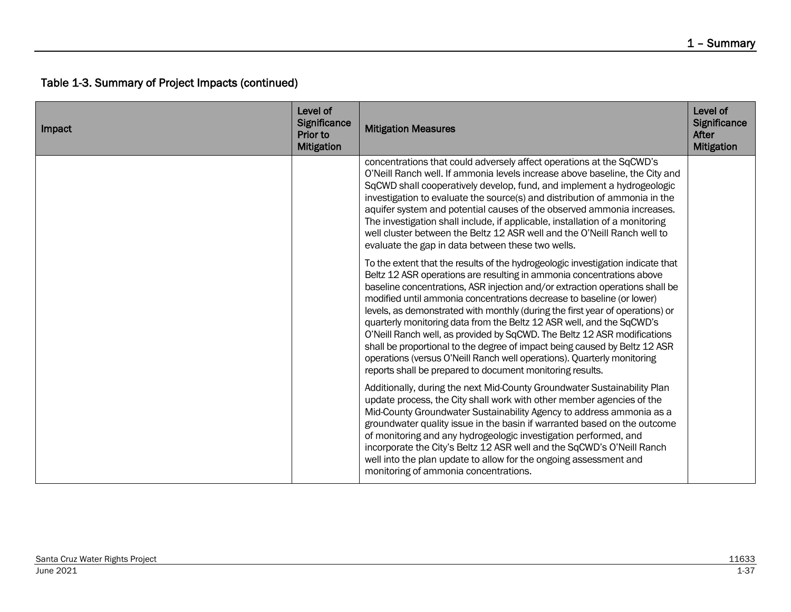| Impact | Level of<br>Significance<br>Prior to<br><b>Mitigation</b> | <b>Mitigation Measures</b>                                                                                                                                                                                                                                                                                                                                                                                                                                                                                                                                                                                                                                                                                                                                                    | Level of<br><b>Significance</b><br><b>After</b><br><b>Mitigation</b> |
|--------|-----------------------------------------------------------|-------------------------------------------------------------------------------------------------------------------------------------------------------------------------------------------------------------------------------------------------------------------------------------------------------------------------------------------------------------------------------------------------------------------------------------------------------------------------------------------------------------------------------------------------------------------------------------------------------------------------------------------------------------------------------------------------------------------------------------------------------------------------------|----------------------------------------------------------------------|
|        |                                                           | concentrations that could adversely affect operations at the SqCWD's<br>O'Neill Ranch well. If ammonia levels increase above baseline, the City and<br>SqCWD shall cooperatively develop, fund, and implement a hydrogeologic<br>investigation to evaluate the source(s) and distribution of ammonia in the<br>aquifer system and potential causes of the observed ammonia increases.<br>The investigation shall include, if applicable, installation of a monitoring<br>well cluster between the Beltz 12 ASR well and the O'Neill Ranch well to<br>evaluate the gap in data between these two wells.                                                                                                                                                                        |                                                                      |
|        |                                                           | To the extent that the results of the hydrogeologic investigation indicate that<br>Beltz 12 ASR operations are resulting in ammonia concentrations above<br>baseline concentrations, ASR injection and/or extraction operations shall be<br>modified until ammonia concentrations decrease to baseline (or lower)<br>levels, as demonstrated with monthly (during the first year of operations) or<br>quarterly monitoring data from the Beltz 12 ASR well, and the SqCWD's<br>O'Neill Ranch well, as provided by SqCWD. The Beltz 12 ASR modifications<br>shall be proportional to the degree of impact being caused by Beltz 12 ASR<br>operations (versus O'Neill Ranch well operations). Quarterly monitoring<br>reports shall be prepared to document monitoring results. |                                                                      |
|        |                                                           | Additionally, during the next Mid-County Groundwater Sustainability Plan<br>update process, the City shall work with other member agencies of the<br>Mid-County Groundwater Sustainability Agency to address ammonia as a<br>groundwater quality issue in the basin if warranted based on the outcome<br>of monitoring and any hydrogeologic investigation performed, and<br>incorporate the City's Beltz 12 ASR well and the SqCWD's O'Neill Ranch<br>well into the plan update to allow for the ongoing assessment and<br>monitoring of ammonia concentrations.                                                                                                                                                                                                             |                                                                      |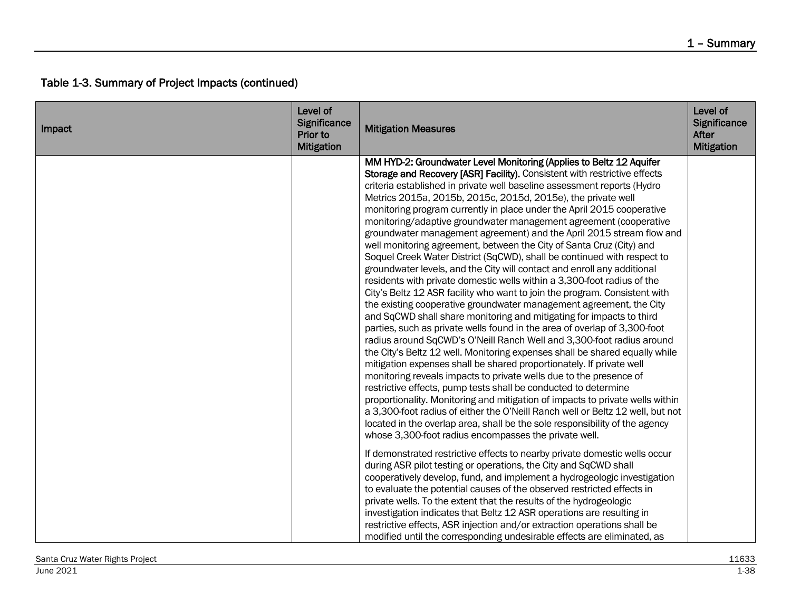| Impact | Level of<br>Significance<br>Prior to<br><b>Mitigation</b> | <b>Mitigation Measures</b>                                                                                                                                                                                                                                                                                                                                                                                                                                                                                                                                                                                                                                                                                                                                                                                                                                                                                                                                                                                                                                                                                                                                                                                                                                                                                                                                                                                                                                                                                                                                                                                                                                                                                                                                                                                                | Level of<br>Significance<br>After<br><b>Mitigation</b> |
|--------|-----------------------------------------------------------|---------------------------------------------------------------------------------------------------------------------------------------------------------------------------------------------------------------------------------------------------------------------------------------------------------------------------------------------------------------------------------------------------------------------------------------------------------------------------------------------------------------------------------------------------------------------------------------------------------------------------------------------------------------------------------------------------------------------------------------------------------------------------------------------------------------------------------------------------------------------------------------------------------------------------------------------------------------------------------------------------------------------------------------------------------------------------------------------------------------------------------------------------------------------------------------------------------------------------------------------------------------------------------------------------------------------------------------------------------------------------------------------------------------------------------------------------------------------------------------------------------------------------------------------------------------------------------------------------------------------------------------------------------------------------------------------------------------------------------------------------------------------------------------------------------------------------|--------------------------------------------------------|
|        |                                                           | MM HYD-2: Groundwater Level Monitoring (Applies to Beltz 12 Aquifer<br>Storage and Recovery [ASR] Facility). Consistent with restrictive effects<br>criteria established in private well baseline assessment reports (Hydro<br>Metrics 2015a, 2015b, 2015c, 2015d, 2015e), the private well<br>monitoring program currently in place under the April 2015 cooperative<br>monitoring/adaptive groundwater management agreement (cooperative<br>groundwater management agreement) and the April 2015 stream flow and<br>well monitoring agreement, between the City of Santa Cruz (City) and<br>Soquel Creek Water District (SqCWD), shall be continued with respect to<br>groundwater levels, and the City will contact and enroll any additional<br>residents with private domestic wells within a 3,300-foot radius of the<br>City's Beltz 12 ASR facility who want to join the program. Consistent with<br>the existing cooperative groundwater management agreement, the City<br>and SqCWD shall share monitoring and mitigating for impacts to third<br>parties, such as private wells found in the area of overlap of 3,300-foot<br>radius around SqCWD's O'Neill Ranch Well and 3,300-foot radius around<br>the City's Beltz 12 well. Monitoring expenses shall be shared equally while<br>mitigation expenses shall be shared proportionately. If private well<br>monitoring reveals impacts to private wells due to the presence of<br>restrictive effects, pump tests shall be conducted to determine<br>proportionality. Monitoring and mitigation of impacts to private wells within<br>a 3,300-foot radius of either the O'Neill Ranch well or Beltz 12 well, but not<br>located in the overlap area, shall be the sole responsibility of the agency<br>whose 3,300-foot radius encompasses the private well. |                                                        |
|        |                                                           | If demonstrated restrictive effects to nearby private domestic wells occur<br>during ASR pilot testing or operations, the City and SqCWD shall<br>cooperatively develop, fund, and implement a hydrogeologic investigation<br>to evaluate the potential causes of the observed restricted effects in<br>private wells. To the extent that the results of the hydrogeologic<br>investigation indicates that Beltz 12 ASR operations are resulting in<br>restrictive effects, ASR injection and/or extraction operations shall be<br>modified until the corresponding undesirable effects are eliminated, as                                                                                                                                                                                                                                                                                                                                                                                                                                                                                                                                                                                                                                                                                                                                                                                                                                                                                                                                                                                                                                                                                                                                                                                                                |                                                        |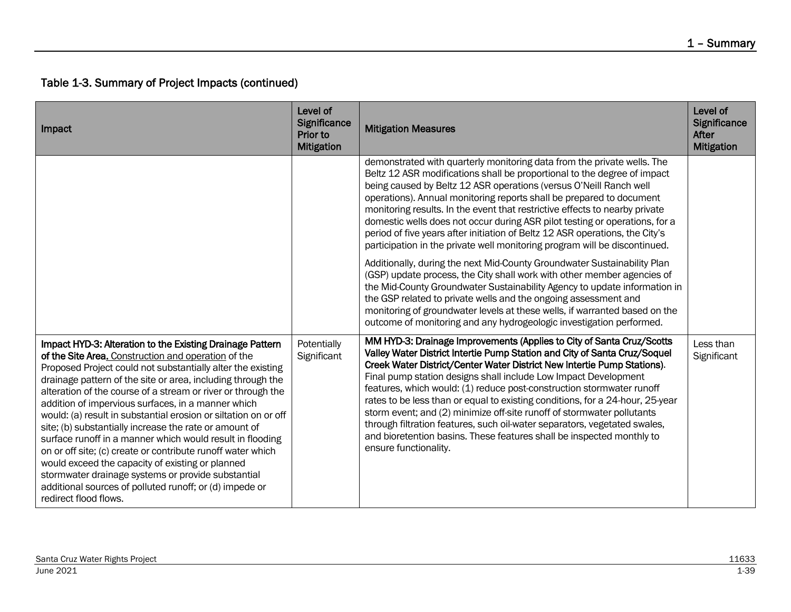| Impact                                                                                                                                                                                                                                                                                                                                                                                                                                                                                                                                                                                                                                                                                                                                                                                                                      | Level of<br>Significance<br>Prior to<br><b>Mitigation</b> | <b>Mitigation Measures</b>                                                                                                                                                                                                                                                                                                                                                                                                                                                                                                                                                                                                                                                                                          | Level of<br>Significance<br>After<br><b>Mitigation</b> |
|-----------------------------------------------------------------------------------------------------------------------------------------------------------------------------------------------------------------------------------------------------------------------------------------------------------------------------------------------------------------------------------------------------------------------------------------------------------------------------------------------------------------------------------------------------------------------------------------------------------------------------------------------------------------------------------------------------------------------------------------------------------------------------------------------------------------------------|-----------------------------------------------------------|---------------------------------------------------------------------------------------------------------------------------------------------------------------------------------------------------------------------------------------------------------------------------------------------------------------------------------------------------------------------------------------------------------------------------------------------------------------------------------------------------------------------------------------------------------------------------------------------------------------------------------------------------------------------------------------------------------------------|--------------------------------------------------------|
|                                                                                                                                                                                                                                                                                                                                                                                                                                                                                                                                                                                                                                                                                                                                                                                                                             |                                                           | demonstrated with quarterly monitoring data from the private wells. The<br>Beltz 12 ASR modifications shall be proportional to the degree of impact<br>being caused by Beltz 12 ASR operations (versus O'Neill Ranch well<br>operations). Annual monitoring reports shall be prepared to document<br>monitoring results. In the event that restrictive effects to nearby private<br>domestic wells does not occur during ASR pilot testing or operations, for a<br>period of five years after initiation of Beltz 12 ASR operations, the City's<br>participation in the private well monitoring program will be discontinued.                                                                                       |                                                        |
|                                                                                                                                                                                                                                                                                                                                                                                                                                                                                                                                                                                                                                                                                                                                                                                                                             |                                                           | Additionally, during the next Mid-County Groundwater Sustainability Plan<br>(GSP) update process, the City shall work with other member agencies of<br>the Mid-County Groundwater Sustainability Agency to update information in<br>the GSP related to private wells and the ongoing assessment and<br>monitoring of groundwater levels at these wells, if warranted based on the<br>outcome of monitoring and any hydrogeologic investigation performed.                                                                                                                                                                                                                                                           |                                                        |
| Impact HYD-3: Alteration to the Existing Drainage Pattern<br>of the Site Area. Construction and operation of the<br>Proposed Project could not substantially alter the existing<br>drainage pattern of the site or area, including through the<br>alteration of the course of a stream or river or through the<br>addition of impervious surfaces, in a manner which<br>would: (a) result in substantial erosion or siltation on or off<br>site; (b) substantially increase the rate or amount of<br>surface runoff in a manner which would result in flooding<br>on or off site; (c) create or contribute runoff water which<br>would exceed the capacity of existing or planned<br>stormwater drainage systems or provide substantial<br>additional sources of polluted runoff; or (d) impede or<br>redirect flood flows. | Potentially<br>Significant                                | MM HYD-3: Drainage Improvements (Applies to City of Santa Cruz/Scotts<br>Valley Water District Intertie Pump Station and City of Santa Cruz/Soquel<br>Creek Water District/Center Water District New Intertie Pump Stations).<br>Final pump station designs shall include Low Impact Development<br>features, which would: (1) reduce post-construction stormwater runoff<br>rates to be less than or equal to existing conditions, for a 24-hour, 25-year<br>storm event; and (2) minimize off-site runoff of stormwater pollutants<br>through filtration features, such oil-water separators, vegetated swales,<br>and bioretention basins. These features shall be inspected monthly to<br>ensure functionality. | Less than<br>Significant                               |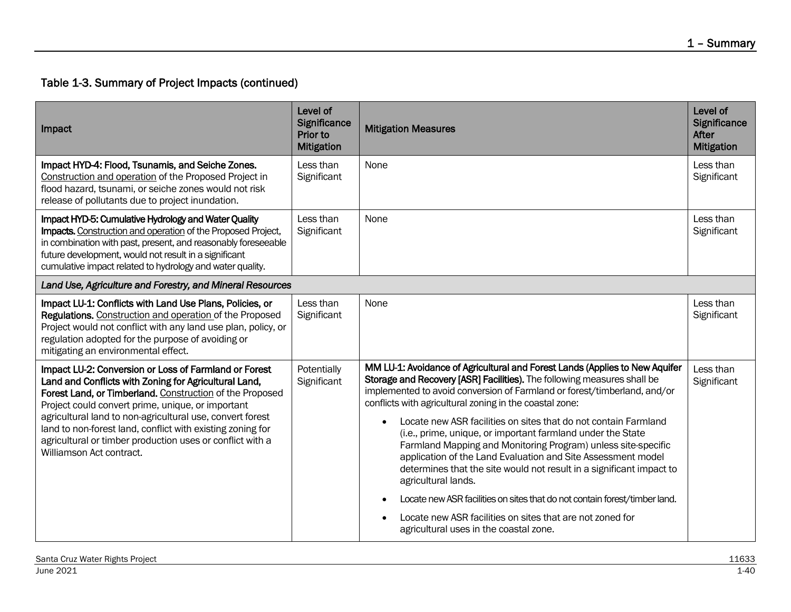| Impact                                                                                                                                                                                                                                                                                                                                                                                                                                              | Level of<br>Significance<br>Prior to<br><b>Mitigation</b> | <b>Mitigation Measures</b>                                                                                                                                                                                                                                                                                                                                                                                                                                                                                                                                                                                                                                                                                                                                                                                                                                        | Level of<br>Significance<br>After<br><b>Mitigation</b> |
|-----------------------------------------------------------------------------------------------------------------------------------------------------------------------------------------------------------------------------------------------------------------------------------------------------------------------------------------------------------------------------------------------------------------------------------------------------|-----------------------------------------------------------|-------------------------------------------------------------------------------------------------------------------------------------------------------------------------------------------------------------------------------------------------------------------------------------------------------------------------------------------------------------------------------------------------------------------------------------------------------------------------------------------------------------------------------------------------------------------------------------------------------------------------------------------------------------------------------------------------------------------------------------------------------------------------------------------------------------------------------------------------------------------|--------------------------------------------------------|
| Impact HYD-4: Flood, Tsunamis, and Seiche Zones.<br>Construction and operation of the Proposed Project in<br>flood hazard, tsunami, or seiche zones would not risk<br>release of pollutants due to project inundation.                                                                                                                                                                                                                              | Less than<br>Significant                                  | None                                                                                                                                                                                                                                                                                                                                                                                                                                                                                                                                                                                                                                                                                                                                                                                                                                                              | Less than<br>Significant                               |
| Impact HYD-5: Cumulative Hydrology and Water Quality<br>Impacts. Construction and operation of the Proposed Project,<br>in combination with past, present, and reasonably foreseeable<br>future development, would not result in a significant<br>cumulative impact related to hydrology and water quality.                                                                                                                                         | Less than<br>Significant                                  | None                                                                                                                                                                                                                                                                                                                                                                                                                                                                                                                                                                                                                                                                                                                                                                                                                                                              | Less than<br>Significant                               |
| Land Use, Agriculture and Forestry, and Mineral Resources                                                                                                                                                                                                                                                                                                                                                                                           |                                                           |                                                                                                                                                                                                                                                                                                                                                                                                                                                                                                                                                                                                                                                                                                                                                                                                                                                                   |                                                        |
| Impact LU-1: Conflicts with Land Use Plans, Policies, or<br>Regulations. Construction and operation of the Proposed<br>Project would not conflict with any land use plan, policy, or<br>regulation adopted for the purpose of avoiding or<br>mitigating an environmental effect.                                                                                                                                                                    | Less than<br>Significant                                  | None                                                                                                                                                                                                                                                                                                                                                                                                                                                                                                                                                                                                                                                                                                                                                                                                                                                              | Less than<br>Significant                               |
| Impact LU-2: Conversion or Loss of Farmland or Forest<br>Land and Conflicts with Zoning for Agricultural Land,<br>Forest Land, or Timberland. Construction of the Proposed<br>Project could convert prime, unique, or important<br>agricultural land to non-agricultural use, convert forest<br>land to non-forest land, conflict with existing zoning for<br>agricultural or timber production uses or conflict with a<br>Williamson Act contract. | Potentially<br>Significant                                | MM LU-1: Avoidance of Agricultural and Forest Lands (Applies to New Aquifer<br>Storage and Recovery [ASR] Facilities). The following measures shall be<br>implemented to avoid conversion of Farmland or forest/timberland, and/or<br>conflicts with agricultural zoning in the coastal zone:<br>Locate new ASR facilities on sites that do not contain Farmland<br>$\bullet$<br>(i.e., prime, unique, or important farmland under the State<br>Farmland Mapping and Monitoring Program) unless site-specific<br>application of the Land Evaluation and Site Assessment model<br>determines that the site would not result in a significant impact to<br>agricultural lands.<br>Locate new ASR facilities on sites that do not contain forest/timber land.<br>Locate new ASR facilities on sites that are not zoned for<br>agricultural uses in the coastal zone. | Less than<br>Significant                               |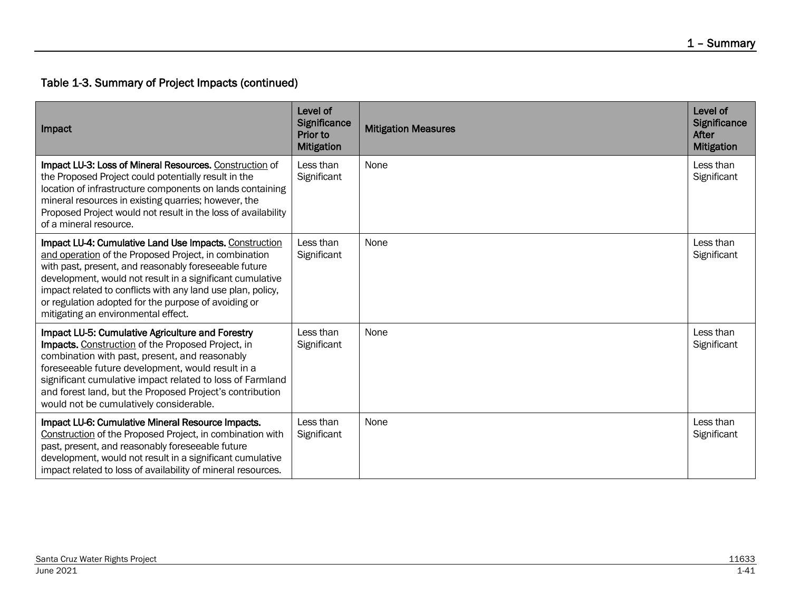| Impact                                                                                                                                                                                                                                                                                                                                                                                              | Level of<br><b>Significance</b><br><b>Prior to</b><br><b>Mitigation</b> | <b>Mitigation Measures</b> | Level of<br><b>Significance</b><br>After<br><b>Mitigation</b> |
|-----------------------------------------------------------------------------------------------------------------------------------------------------------------------------------------------------------------------------------------------------------------------------------------------------------------------------------------------------------------------------------------------------|-------------------------------------------------------------------------|----------------------------|---------------------------------------------------------------|
| Impact LU-3: Loss of Mineral Resources. Construction of<br>the Proposed Project could potentially result in the<br>location of infrastructure components on lands containing<br>mineral resources in existing quarries; however, the<br>Proposed Project would not result in the loss of availability<br>of a mineral resource.                                                                     | Less than<br>Significant                                                | None                       | Less than<br>Significant                                      |
| Impact LU-4: Cumulative Land Use Impacts. Construction<br>and operation of the Proposed Project, in combination<br>with past, present, and reasonably foreseeable future<br>development, would not result in a significant cumulative<br>impact related to conflicts with any land use plan, policy,<br>or regulation adopted for the purpose of avoiding or<br>mitigating an environmental effect. | Less than<br>Significant                                                | None                       | Less than<br>Significant                                      |
| Impact LU-5: Cumulative Agriculture and Forestry<br>Impacts. Construction of the Proposed Project, in<br>combination with past, present, and reasonably<br>foreseeable future development, would result in a<br>significant cumulative impact related to loss of Farmland<br>and forest land, but the Proposed Project's contribution<br>would not be cumulatively considerable.                    | Less than<br>Significant                                                | None                       | Less than<br>Significant                                      |
| Impact LU-6: Cumulative Mineral Resource Impacts.<br>Construction of the Proposed Project, in combination with<br>past, present, and reasonably foreseeable future<br>development, would not result in a significant cumulative<br>impact related to loss of availability of mineral resources.                                                                                                     | Less than<br>Significant                                                | None                       | Less than<br>Significant                                      |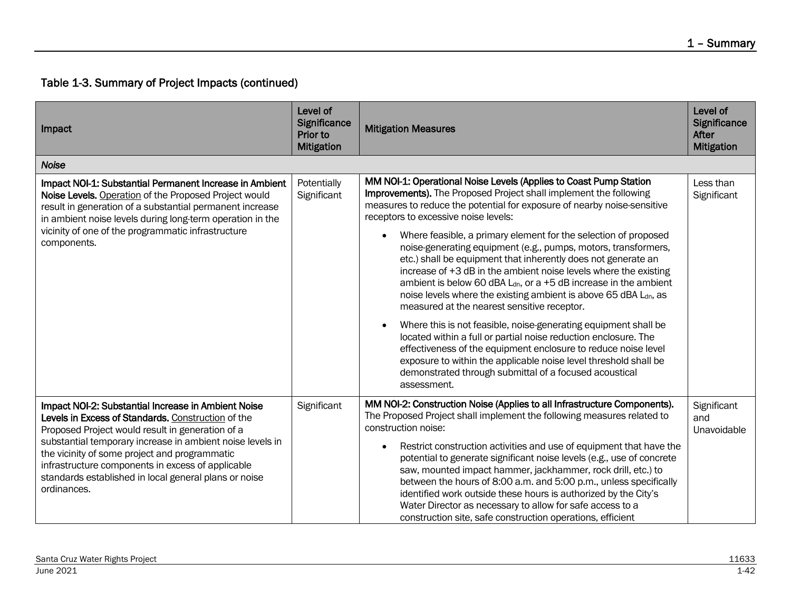| Impact                                                                                                                                                                                                                                                                                                                                                                                                   | Level of<br><b>Significance</b><br>Prior to<br><b>Mitigation</b> | <b>Mitigation Measures</b>                                                                                                                                                                                                                                                                                                                                                                                                                                                                                                                                                                                                                                                                                                                                                                                                                                                                                                                                                                                                                                                                                    | Level of<br>Significance<br>After<br><b>Mitigation</b> |
|----------------------------------------------------------------------------------------------------------------------------------------------------------------------------------------------------------------------------------------------------------------------------------------------------------------------------------------------------------------------------------------------------------|------------------------------------------------------------------|---------------------------------------------------------------------------------------------------------------------------------------------------------------------------------------------------------------------------------------------------------------------------------------------------------------------------------------------------------------------------------------------------------------------------------------------------------------------------------------------------------------------------------------------------------------------------------------------------------------------------------------------------------------------------------------------------------------------------------------------------------------------------------------------------------------------------------------------------------------------------------------------------------------------------------------------------------------------------------------------------------------------------------------------------------------------------------------------------------------|--------------------------------------------------------|
| <b>Noise</b>                                                                                                                                                                                                                                                                                                                                                                                             |                                                                  |                                                                                                                                                                                                                                                                                                                                                                                                                                                                                                                                                                                                                                                                                                                                                                                                                                                                                                                                                                                                                                                                                                               |                                                        |
| Impact NOI-1: Substantial Permanent Increase in Ambient<br>Noise Levels. Operation of the Proposed Project would<br>result in generation of a substantial permanent increase<br>in ambient noise levels during long-term operation in the<br>vicinity of one of the programmatic infrastructure<br>components.                                                                                           | Potentially<br>Significant                                       | MM NOI-1: Operational Noise Levels (Applies to Coast Pump Station<br>Improvements). The Proposed Project shall implement the following<br>measures to reduce the potential for exposure of nearby noise-sensitive<br>receptors to excessive noise levels:<br>Where feasible, a primary element for the selection of proposed<br>$\bullet$<br>noise-generating equipment (e.g., pumps, motors, transformers,<br>etc.) shall be equipment that inherently does not generate an<br>increase of +3 dB in the ambient noise levels where the existing<br>ambient is below 60 dBA $L_{dn}$ , or a +5 dB increase in the ambient<br>noise levels where the existing ambient is above 65 dBA Ldn, as<br>measured at the nearest sensitive receptor.<br>Where this is not feasible, noise-generating equipment shall be<br>$\bullet$<br>located within a full or partial noise reduction enclosure. The<br>effectiveness of the equipment enclosure to reduce noise level<br>exposure to within the applicable noise level threshold shall be<br>demonstrated through submittal of a focused acoustical<br>assessment. | Less than<br>Significant                               |
| Impact NOI-2: Substantial Increase in Ambient Noise<br>Levels in Excess of Standards. Construction of the<br>Proposed Project would result in generation of a<br>substantial temporary increase in ambient noise levels in<br>the vicinity of some project and programmatic<br>infrastructure components in excess of applicable<br>standards established in local general plans or noise<br>ordinances. | Significant                                                      | MM NOI-2: Construction Noise (Applies to all Infrastructure Components).<br>The Proposed Project shall implement the following measures related to<br>construction noise:<br>Restrict construction activities and use of equipment that have the<br>$\bullet$<br>potential to generate significant noise levels (e.g., use of concrete<br>saw, mounted impact hammer, jackhammer, rock drill, etc.) to<br>between the hours of 8:00 a.m. and 5:00 p.m., unless specifically<br>identified work outside these hours is authorized by the City's<br>Water Director as necessary to allow for safe access to a<br>construction site, safe construction operations, efficient                                                                                                                                                                                                                                                                                                                                                                                                                                     | Significant<br>and<br>Unavoidable                      |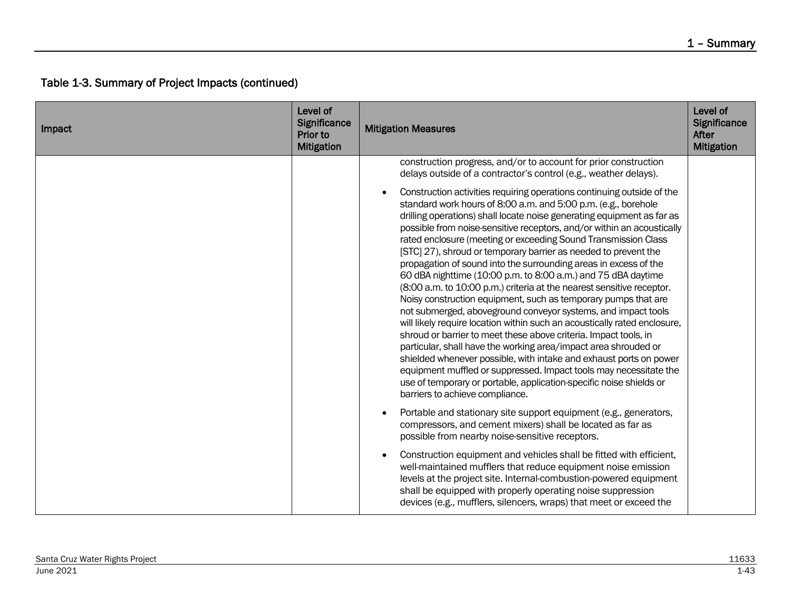| Impact | Level of<br>Significance<br>Prior to<br><b>Mitigation</b> | <b>Mitigation Measures</b>                                                                                                                                                                                                                                                                                                                                                                                                                                                                                                                                                                                                                                                                                                                                                                                                                                                                                                                                                                                                                                                                                                                                                                                                                                  | Level of<br>Significance<br><b>After</b><br><b>Mitigation</b> |
|--------|-----------------------------------------------------------|-------------------------------------------------------------------------------------------------------------------------------------------------------------------------------------------------------------------------------------------------------------------------------------------------------------------------------------------------------------------------------------------------------------------------------------------------------------------------------------------------------------------------------------------------------------------------------------------------------------------------------------------------------------------------------------------------------------------------------------------------------------------------------------------------------------------------------------------------------------------------------------------------------------------------------------------------------------------------------------------------------------------------------------------------------------------------------------------------------------------------------------------------------------------------------------------------------------------------------------------------------------|---------------------------------------------------------------|
|        |                                                           | construction progress, and/or to account for prior construction<br>delays outside of a contractor's control (e.g., weather delays).                                                                                                                                                                                                                                                                                                                                                                                                                                                                                                                                                                                                                                                                                                                                                                                                                                                                                                                                                                                                                                                                                                                         |                                                               |
|        |                                                           | Construction activities requiring operations continuing outside of the<br>standard work hours of 8:00 a.m. and 5:00 p.m. (e.g., borehole<br>drilling operations) shall locate noise generating equipment as far as<br>possible from noise-sensitive receptors, and/or within an acoustically<br>rated enclosure (meeting or exceeding Sound Transmission Class<br>[STC] 27), shroud or temporary barrier as needed to prevent the<br>propagation of sound into the surrounding areas in excess of the<br>60 dBA nighttime (10:00 p.m. to 8:00 a.m.) and 75 dBA daytime<br>(8:00 a.m. to 10:00 p.m.) criteria at the nearest sensitive receptor.<br>Noisy construction equipment, such as temporary pumps that are<br>not submerged, aboveground conveyor systems, and impact tools<br>will likely require location within such an acoustically rated enclosure,<br>shroud or barrier to meet these above criteria. Impact tools, in<br>particular, shall have the working area/impact area shrouded or<br>shielded whenever possible, with intake and exhaust ports on power<br>equipment muffled or suppressed. Impact tools may necessitate the<br>use of temporary or portable, application-specific noise shields or<br>barriers to achieve compliance. |                                                               |
|        |                                                           | Portable and stationary site support equipment (e.g., generators,<br>compressors, and cement mixers) shall be located as far as<br>possible from nearby noise-sensitive receptors.                                                                                                                                                                                                                                                                                                                                                                                                                                                                                                                                                                                                                                                                                                                                                                                                                                                                                                                                                                                                                                                                          |                                                               |
|        |                                                           | Construction equipment and vehicles shall be fitted with efficient,<br>well-maintained mufflers that reduce equipment noise emission<br>levels at the project site. Internal-combustion-powered equipment<br>shall be equipped with properly operating noise suppression<br>devices (e.g., mufflers, silencers, wraps) that meet or exceed the                                                                                                                                                                                                                                                                                                                                                                                                                                                                                                                                                                                                                                                                                                                                                                                                                                                                                                              |                                                               |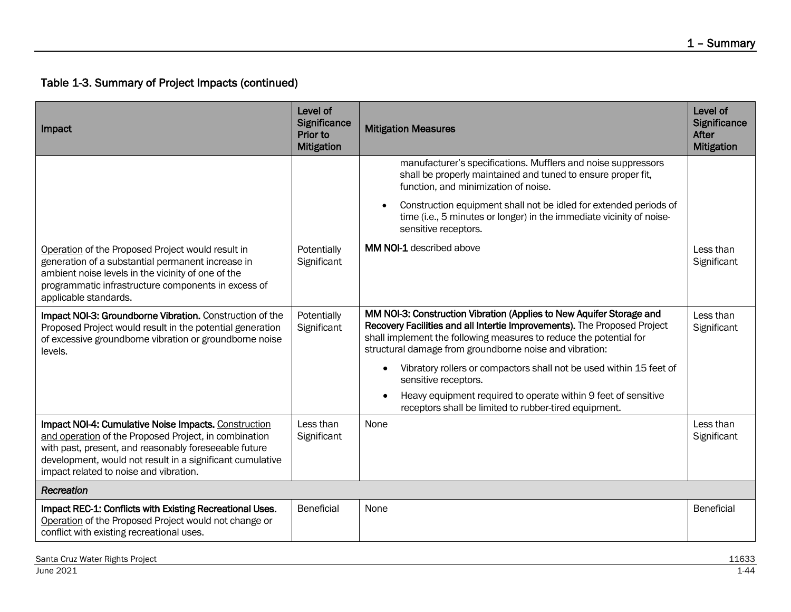| Impact                                                                                                                                                                                                                                                                        | Level of<br>Significance<br>Prior to<br><b>Mitigation</b> | <b>Mitigation Measures</b>                                                                                                                                                                                                                                                        | Level of<br>Significance<br>After<br><b>Mitigation</b> |
|-------------------------------------------------------------------------------------------------------------------------------------------------------------------------------------------------------------------------------------------------------------------------------|-----------------------------------------------------------|-----------------------------------------------------------------------------------------------------------------------------------------------------------------------------------------------------------------------------------------------------------------------------------|--------------------------------------------------------|
|                                                                                                                                                                                                                                                                               |                                                           | manufacturer's specifications. Mufflers and noise suppressors<br>shall be properly maintained and tuned to ensure proper fit,<br>function, and minimization of noise.                                                                                                             |                                                        |
|                                                                                                                                                                                                                                                                               |                                                           | Construction equipment shall not be idled for extended periods of<br>$\bullet$<br>time (i.e., 5 minutes or longer) in the immediate vicinity of noise-<br>sensitive receptors.                                                                                                    |                                                        |
| Operation of the Proposed Project would result in<br>generation of a substantial permanent increase in<br>ambient noise levels in the vicinity of one of the<br>programmatic infrastructure components in excess of<br>applicable standards.                                  | Potentially<br>Significant                                | <b>MM NOI-1</b> described above                                                                                                                                                                                                                                                   | Less than<br>Significant                               |
| Impact NOI-3: Groundborne Vibration. Construction of the<br>Proposed Project would result in the potential generation<br>of excessive groundborne vibration or groundborne noise<br>levels.                                                                                   | Potentially<br>Significant                                | MM NOI-3: Construction Vibration (Applies to New Aquifer Storage and<br>Recovery Facilities and all Intertie Improvements). The Proposed Project<br>shall implement the following measures to reduce the potential for<br>structural damage from groundborne noise and vibration: | Less than<br>Significant                               |
|                                                                                                                                                                                                                                                                               |                                                           | Vibratory rollers or compactors shall not be used within 15 feet of<br>$\bullet$<br>sensitive receptors.                                                                                                                                                                          |                                                        |
|                                                                                                                                                                                                                                                                               |                                                           | Heavy equipment required to operate within 9 feet of sensitive<br>receptors shall be limited to rubber-tired equipment.                                                                                                                                                           |                                                        |
| Impact NOI-4: Cumulative Noise Impacts. Construction<br>and operation of the Proposed Project, in combination<br>with past, present, and reasonably foreseeable future<br>development, would not result in a significant cumulative<br>impact related to noise and vibration. | Less than<br>Significant                                  | None                                                                                                                                                                                                                                                                              | Less than<br>Significant                               |
| Recreation                                                                                                                                                                                                                                                                    |                                                           |                                                                                                                                                                                                                                                                                   |                                                        |
| Impact REC-1: Conflicts with Existing Recreational Uses.<br>Operation of the Proposed Project would not change or<br>conflict with existing recreational uses.                                                                                                                | <b>Beneficial</b>                                         | None                                                                                                                                                                                                                                                                              | Beneficial                                             |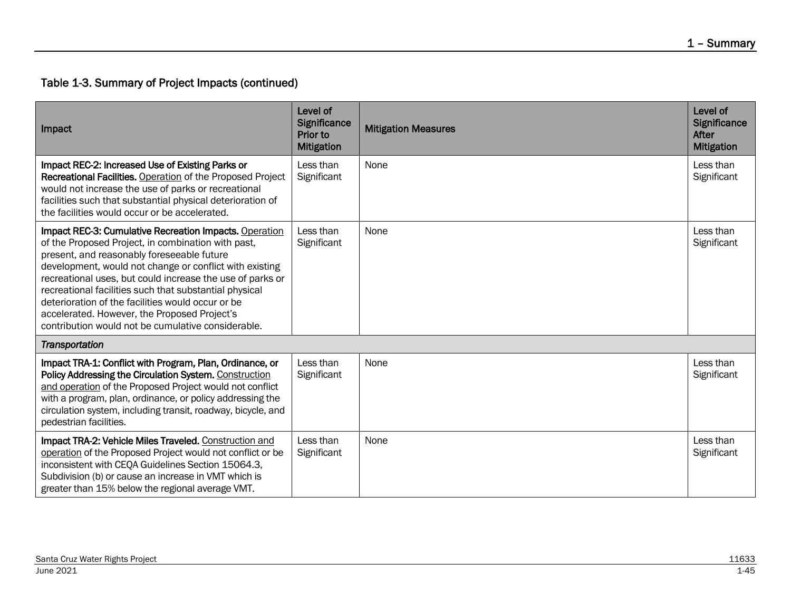| Impact                                                                                                                                                                                                                                                                                                                                                                                                                                                                                                  | Level of<br>Significance<br>Prior to<br><b>Mitigation</b> | <b>Mitigation Measures</b> | Level of<br><b>Significance</b><br>After<br><b>Mitigation</b> |
|---------------------------------------------------------------------------------------------------------------------------------------------------------------------------------------------------------------------------------------------------------------------------------------------------------------------------------------------------------------------------------------------------------------------------------------------------------------------------------------------------------|-----------------------------------------------------------|----------------------------|---------------------------------------------------------------|
| Impact REC-2: Increased Use of Existing Parks or<br>Recreational Facilities. Operation of the Proposed Project<br>would not increase the use of parks or recreational<br>facilities such that substantial physical deterioration of<br>the facilities would occur or be accelerated.                                                                                                                                                                                                                    | Less than<br>Significant                                  | None                       | Less than<br>Significant                                      |
| Impact REC-3: Cumulative Recreation Impacts. Operation<br>of the Proposed Project, in combination with past,<br>present, and reasonably foreseeable future<br>development, would not change or conflict with existing<br>recreational uses, but could increase the use of parks or<br>recreational facilities such that substantial physical<br>deterioration of the facilities would occur or be<br>accelerated. However, the Proposed Project's<br>contribution would not be cumulative considerable. | Less than<br>Significant                                  | None                       | Less than<br>Significant                                      |
| Transportation                                                                                                                                                                                                                                                                                                                                                                                                                                                                                          |                                                           |                            |                                                               |
| Impact TRA-1: Conflict with Program, Plan, Ordinance, or<br>Policy Addressing the Circulation System. Construction<br>and operation of the Proposed Project would not conflict<br>with a program, plan, ordinance, or policy addressing the<br>circulation system, including transit, roadway, bicycle, and<br>pedestrian facilities.                                                                                                                                                                   | Less than<br>Significant                                  | None                       | Less than<br>Significant                                      |
| Impact TRA-2: Vehicle Miles Traveled. Construction and<br>operation of the Proposed Project would not conflict or be<br>inconsistent with CEQA Guidelines Section 15064.3,<br>Subdivision (b) or cause an increase in VMT which is<br>greater than 15% below the regional average VMT.                                                                                                                                                                                                                  | Less than<br>Significant                                  | None                       | Less than<br>Significant                                      |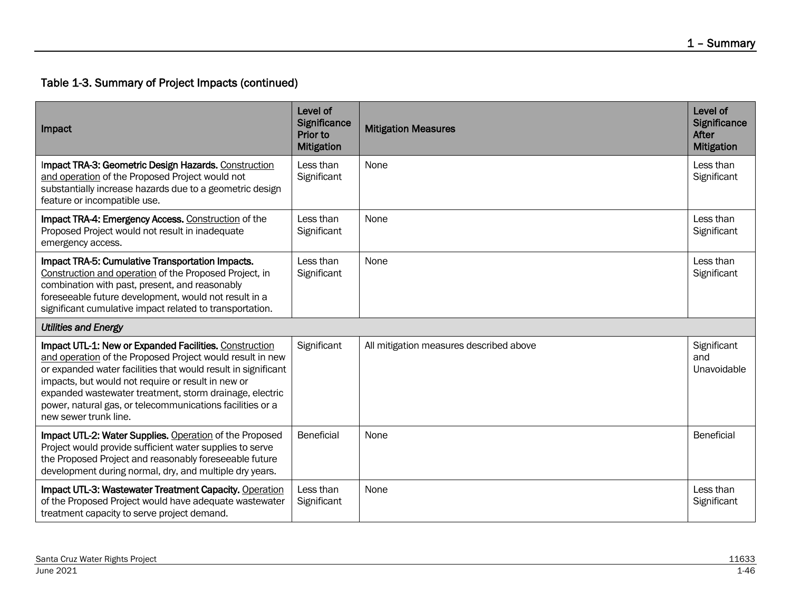| Impact                                                                                                                                                                                                                                                                                                                                                                                      | Level of<br>Significance<br>Prior to<br><b>Mitigation</b> | <b>Mitigation Measures</b>              | Level of<br>Significance<br>After<br><b>Mitigation</b> |
|---------------------------------------------------------------------------------------------------------------------------------------------------------------------------------------------------------------------------------------------------------------------------------------------------------------------------------------------------------------------------------------------|-----------------------------------------------------------|-----------------------------------------|--------------------------------------------------------|
| Impact TRA-3: Geometric Design Hazards. Construction<br>and operation of the Proposed Project would not<br>substantially increase hazards due to a geometric design<br>feature or incompatible use.                                                                                                                                                                                         | Less than<br>Significant                                  | None                                    | Less than<br>Significant                               |
| Impact TRA-4: Emergency Access. Construction of the<br>Proposed Project would not result in inadequate<br>emergency access.                                                                                                                                                                                                                                                                 | Less than<br>Significant                                  | None                                    | Less than<br>Significant                               |
| Impact TRA-5: Cumulative Transportation Impacts.<br>Construction and operation of the Proposed Project, in<br>combination with past, present, and reasonably<br>foreseeable future development, would not result in a<br>significant cumulative impact related to transportation.                                                                                                           | Less than<br>Significant                                  | None                                    | Less than<br>Significant                               |
| <b>Utilities and Energy</b>                                                                                                                                                                                                                                                                                                                                                                 |                                                           |                                         |                                                        |
| Impact UTL-1: New or Expanded Facilities. Construction<br>and operation of the Proposed Project would result in new<br>or expanded water facilities that would result in significant<br>impacts, but would not require or result in new or<br>expanded wastewater treatment, storm drainage, electric<br>power, natural gas, or telecommunications facilities or a<br>new sewer trunk line. | Significant                                               | All mitigation measures described above | Significant<br>and<br>Unavoidable                      |
| Impact UTL-2: Water Supplies. Operation of the Proposed<br>Project would provide sufficient water supplies to serve<br>the Proposed Project and reasonably foreseeable future<br>development during normal, dry, and multiple dry years.                                                                                                                                                    | Beneficial                                                | None                                    | Beneficial                                             |
| Impact UTL-3: Wastewater Treatment Capacity. Operation<br>of the Proposed Project would have adequate wastewater<br>treatment capacity to serve project demand.                                                                                                                                                                                                                             | Less than<br>Significant                                  | None                                    | Less than<br>Significant                               |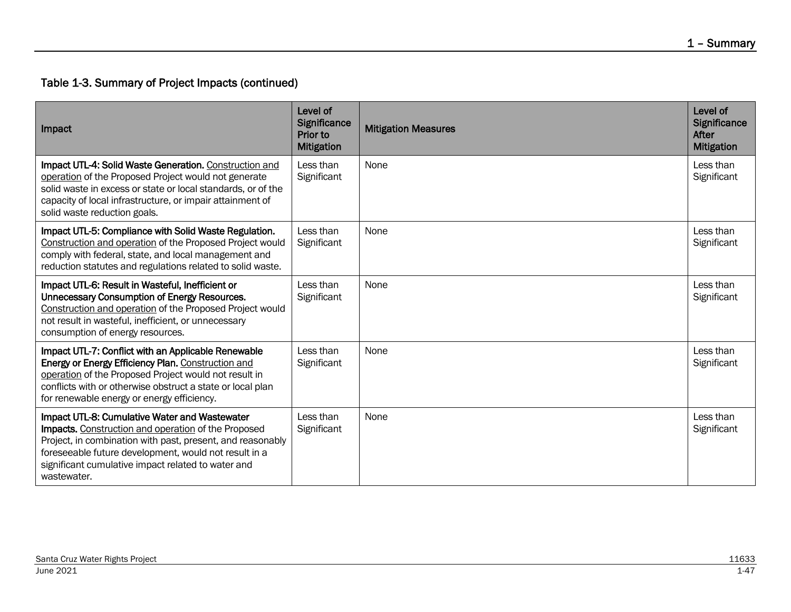| Impact                                                                                                                                                                                                                                                                                           | Level of<br>Significance<br>Prior to<br><b>Mitigation</b> | <b>Mitigation Measures</b> | Level of<br>Significance<br>After<br><b>Mitigation</b> |
|--------------------------------------------------------------------------------------------------------------------------------------------------------------------------------------------------------------------------------------------------------------------------------------------------|-----------------------------------------------------------|----------------------------|--------------------------------------------------------|
| Impact UTL-4: Solid Waste Generation. Construction and<br>operation of the Proposed Project would not generate<br>solid waste in excess or state or local standards, or of the<br>capacity of local infrastructure, or impair attainment of<br>solid waste reduction goals.                      | Less than<br>Significant                                  | None                       | Less than<br>Significant                               |
| Impact UTL-5: Compliance with Solid Waste Regulation.<br>Construction and operation of the Proposed Project would<br>comply with federal, state, and local management and<br>reduction statutes and regulations related to solid waste.                                                          | Less than<br>Significant                                  | None                       | Less than<br>Significant                               |
| Impact UTL-6: Result in Wasteful, Inefficient or<br>Unnecessary Consumption of Energy Resources.<br>Construction and operation of the Proposed Project would<br>not result in wasteful, inefficient, or unnecessary<br>consumption of energy resources.                                          | Less than<br>Significant                                  | None                       | Less than<br>Significant                               |
| Impact UTL-7: Conflict with an Applicable Renewable<br>Energy or Energy Efficiency Plan. Construction and<br>operation of the Proposed Project would not result in<br>conflicts with or otherwise obstruct a state or local plan<br>for renewable energy or energy efficiency.                   | Less than<br>Significant                                  | None                       | Less than<br>Significant                               |
| Impact UTL-8: Cumulative Water and Wastewater<br>Impacts. Construction and operation of the Proposed<br>Project, in combination with past, present, and reasonably<br>foreseeable future development, would not result in a<br>significant cumulative impact related to water and<br>wastewater. | Less than<br>Significant                                  | None                       | Less than<br>Significant                               |